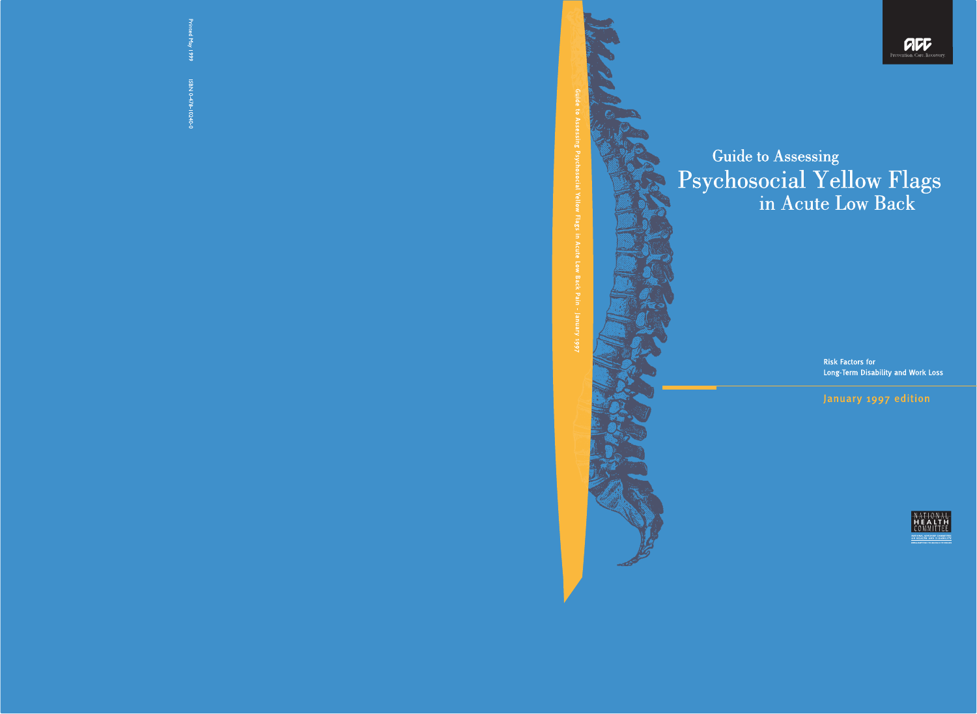# **Guide to Assessing** Psychosocial Yellow Flags<br>in Acute Low Back

**Risk Factors for** Long-Term Disability and Work Loss

## January 1997 edition

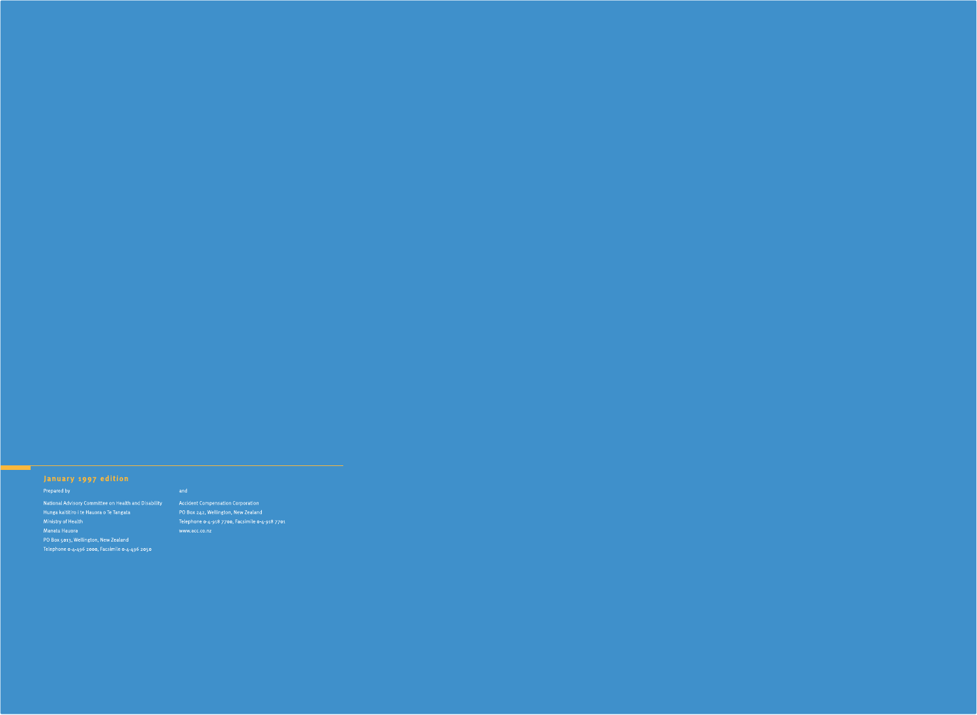## January 1997 edition

#### Prepared by

National Advisory Committee on Health and Disability Hunga kaititiro i te Hauora o Te Tangata Ministry of Health

Manatu Hauora

PO Box 5013, Wellington, New Zealand

Telephone o-4-496 2000, Facsimile 0-4-496 2050

**Accident Compensation Corporation** PO Box 242, Wellington, New Zealand Telephone 0-4-918 7700, Facsimile 0-4-918 7701 www.acc.co.nz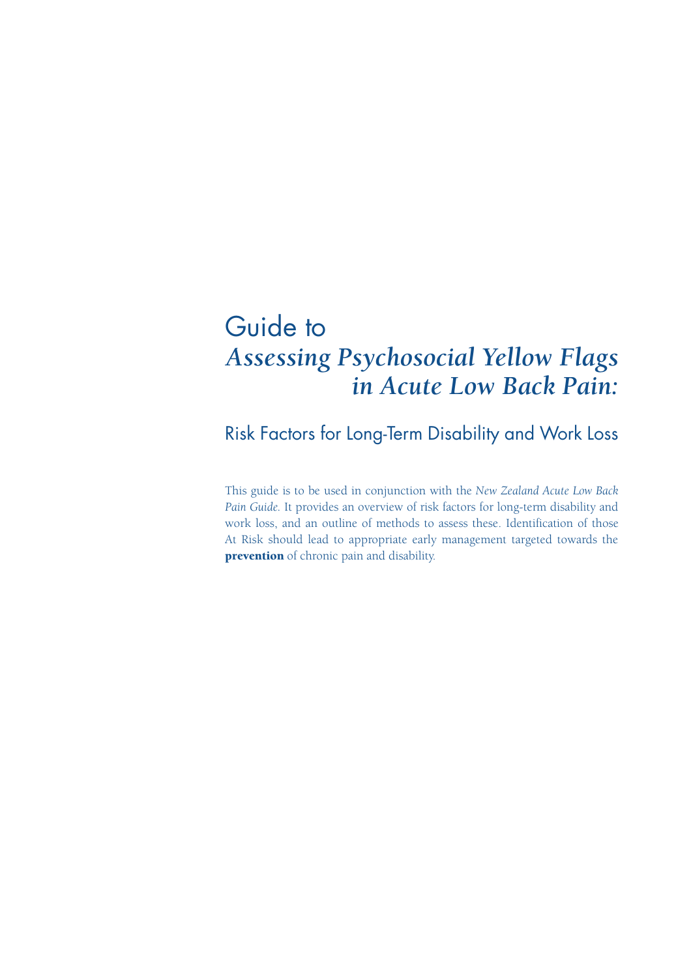## Guide to *Assessing Psychosocial Yellow Flags in Acute Low Back Pain:*

Risk Factors for Long-Term Disability and Work Loss

This guide is to be used in conjunction with the *New Zealand Acute Low Back Pain Guide.* It provides an overview of risk factors for long-term disability and work loss, and an outline of methods to assess these. Identification of those At Risk should lead to appropriate early management targeted towards the prevention of chronic pain and disability.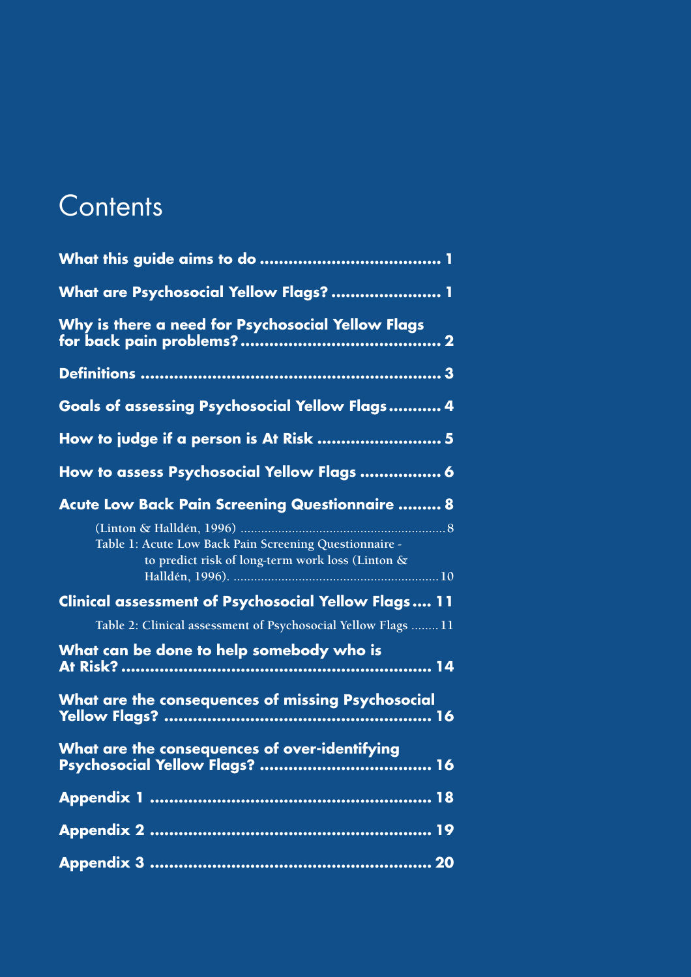## **Contents**

| What are Psychosocial Yellow Flags?  1                                                                                                                                                                                                                                                             |
|----------------------------------------------------------------------------------------------------------------------------------------------------------------------------------------------------------------------------------------------------------------------------------------------------|
| Why is there a need for Psychosocial Yellow Flags                                                                                                                                                                                                                                                  |
|                                                                                                                                                                                                                                                                                                    |
| <b>Goals of assessing Psychosocial Yellow Flags 4</b>                                                                                                                                                                                                                                              |
| How to judge if a person is At Risk  5                                                                                                                                                                                                                                                             |
| How to assess Psychosocial Yellow Flags  6                                                                                                                                                                                                                                                         |
| <b>Acute Low Back Pain Screening Questionnaire  8</b><br>Table 1: Acute Low Back Pain Screening Questionnaire -<br>to predict risk of long-term work loss (Linton &<br><b>Clinical assessment of Psychosocial Yellow Flags 11</b><br>Table 2: Clinical assessment of Psychosocial Yellow Flags  11 |
| What can be done to help somebody who is<br>What are the consequences of missing Psychosocial                                                                                                                                                                                                      |
|                                                                                                                                                                                                                                                                                                    |
| What are the consequences of over-identifying                                                                                                                                                                                                                                                      |
|                                                                                                                                                                                                                                                                                                    |
|                                                                                                                                                                                                                                                                                                    |
|                                                                                                                                                                                                                                                                                                    |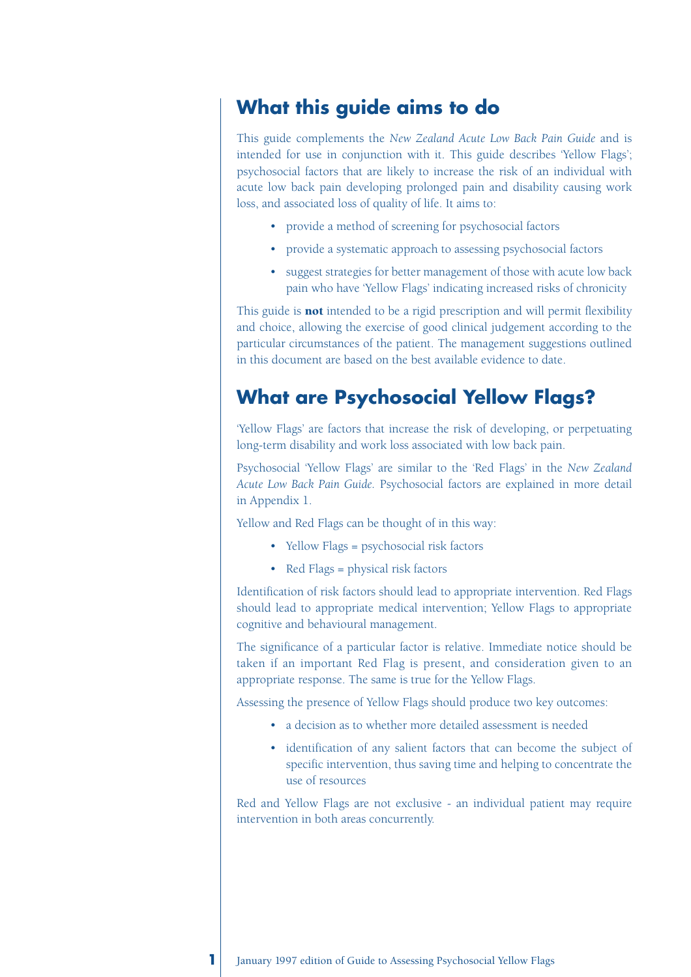## **What this guide aims to do**

This guide complements the *New Zealand Acute Low Back Pain Guide* and is intended for use in conjunction with it. This guide describes 'Yellow Flags'; psychosocial factors that are likely to increase the risk of an individual with acute low back pain developing prolonged pain and disability causing work loss, and associated loss of quality of life. It aims to:

- provide a method of screening for psychosocial factors
- provide a systematic approach to assessing psychosocial factors
- suggest strategies for better management of those with acute low back pain who have 'Yellow Flags' indicating increased risks of chronicity

This guide is **not** intended to be a rigid prescription and will permit flexibility and choice, allowing the exercise of good clinical judgement according to the particular circumstances of the patient. The management suggestions outlined in this document are based on the best available evidence to date.

## **What are Psychosocial Yellow Flags?**

'Yellow Flags' are factors that increase the risk of developing, or perpetuating long-term disability and work loss associated with low back pain.

Psychosocial 'Yellow Flags' are similar to the 'Red Flags' in the *New Zealand Acute Low Back Pain Guide.* Psychosocial factors are explained in more detail in Appendix 1.

Yellow and Red Flags can be thought of in this way:

- Yellow Flags = psychosocial risk factors
- Red Flags = physical risk factors

Identification of risk factors should lead to appropriate intervention. Red Flags should lead to appropriate medical intervention; Yellow Flags to appropriate cognitive and behavioural management.

The significance of a particular factor is relative. Immediate notice should be taken if an important Red Flag is present, and consideration given to an appropriate response. The same is true for the Yellow Flags.

Assessing the presence of Yellow Flags should produce two key outcomes:

- a decision as to whether more detailed assessment is needed
- identification of any salient factors that can become the subject of specific intervention, thus saving time and helping to concentrate the use of resources

Red and Yellow Flags are not exclusive - an individual patient may require intervention in both areas concurrently.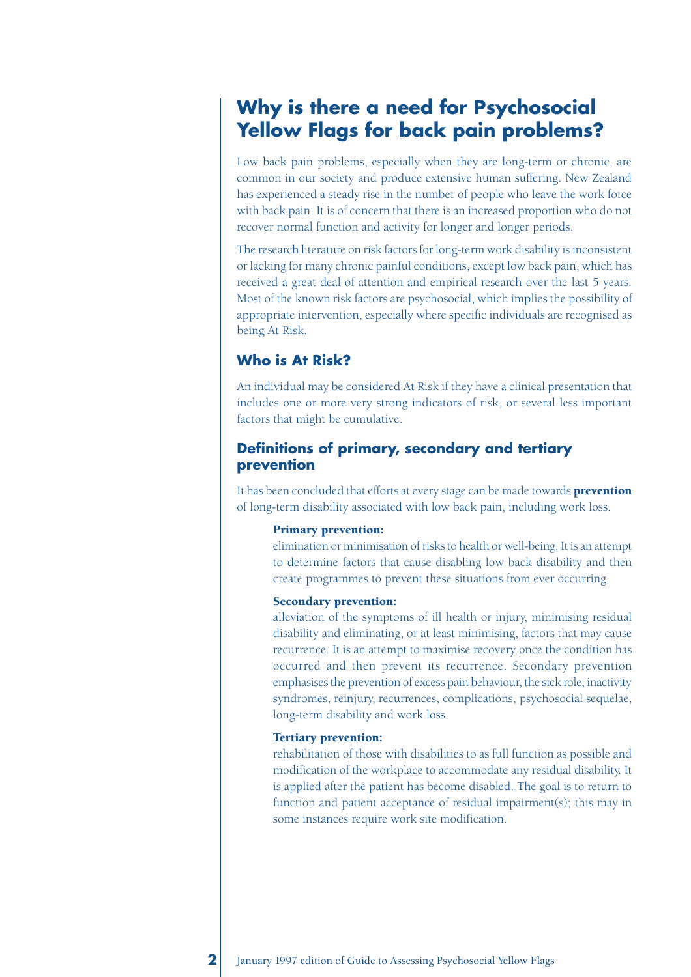## **Why is there a need for Psychosocial Yellow Flags for back pain problems?**

Low back pain problems, especially when they are long-term or chronic, are common in our society and produce extensive human suffering. New Zealand has experienced a steady rise in the number of people who leave the work force with back pain. It is of concern that there is an increased proportion who do not recover normal function and activity for longer and longer periods.

The research literature on risk factors for long-term work disability is inconsistent or lacking for many chronic painful conditions, except low back pain, which has received a great deal of attention and empirical research over the last 5 years. Most of the known risk factors are psychosocial, which implies the possibility of appropriate intervention, especially where specific individuals are recognised as being At Risk.

#### **Who is At Risk?**

An individual may be considered At Risk if they have a clinical presentation that includes one or more very strong indicators of risk, or several less important factors that might be cumulative.

#### **Definitions of primary, secondary and tertiary prevention**

It has been concluded that efforts at every stage can be made towards **prevention** of long-term disability associated with low back pain, including work loss.

#### Primary prevention:

elimination or minimisation of risks to health or well-being. It is an attempt to determine factors that cause disabling low back disability and then create programmes to prevent these situations from ever occurring.

#### Secondary prevention:

alleviation of the symptoms of ill health or injury, minimising residual disability and eliminating, or at least minimising, factors that may cause recurrence. It is an attempt to maximise recovery once the condition has occurred and then prevent its recurrence. Secondary prevention emphasises the prevention of excess pain behaviour, the sick role, inactivity syndromes, reinjury, recurrences, complications, psychosocial sequelae, long-term disability and work loss.

#### Tertiary prevention:

rehabilitation of those with disabilities to as full function as possible and modification of the workplace to accommodate any residual disability. It is applied after the patient has become disabled. The goal is to return to function and patient acceptance of residual impairment(s); this may in some instances require work site modification.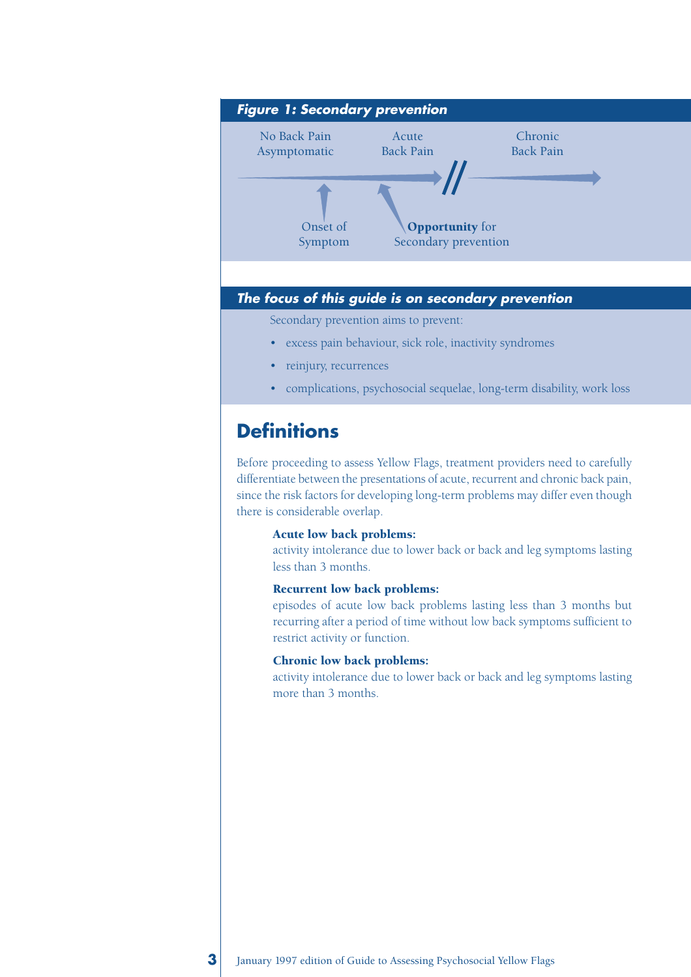

#### **The focus of this guide is on secondary prevention**

Secondary prevention aims to prevent:

- excess pain behaviour, sick role, inactivity syndromes
- reinjury, recurrences
- complications, psychosocial sequelae, long-term disability, work loss

## **Definitions**

Before proceeding to assess Yellow Flags, treatment providers need to carefully differentiate between the presentations of acute, recurrent and chronic back pain, since the risk factors for developing long-term problems may differ even though there is considerable overlap.

#### Acute low back problems:

activity intolerance due to lower back or back and leg symptoms lasting less than 3 months.

#### Recurrent low back problems:

episodes of acute low back problems lasting less than 3 months but recurring after a period of time without low back symptoms sufficient to restrict activity or function.

#### Chronic low back problems:

activity intolerance due to lower back or back and leg symptoms lasting more than 3 months.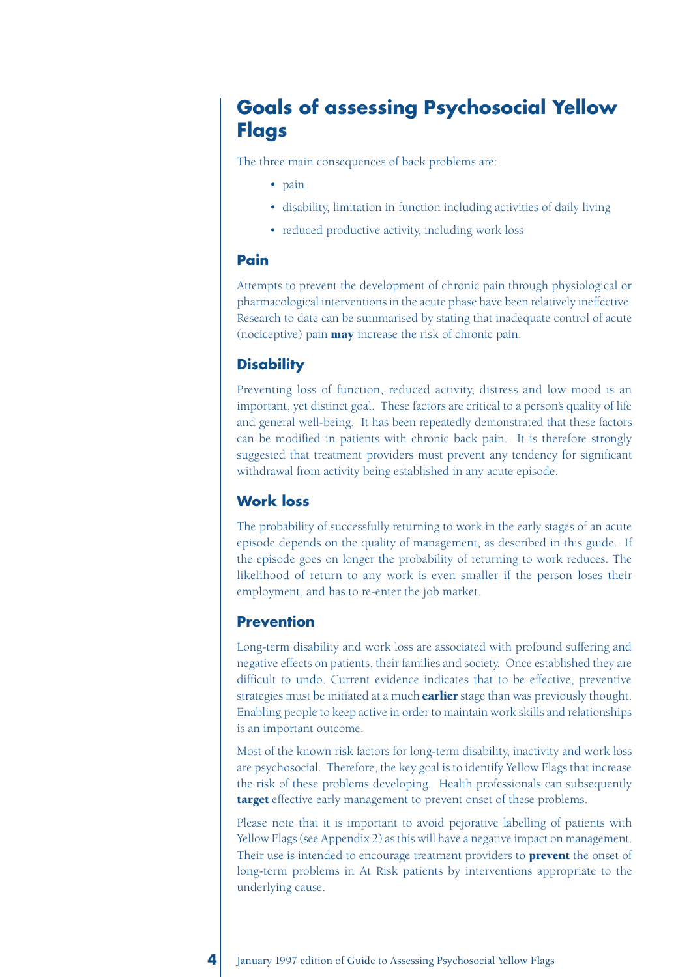## **Goals of assessing Psychosocial Yellow Flags**

The three main consequences of back problems are:

- pain
- disability, limitation in function including activities of daily living
- reduced productive activity, including work loss

#### **Pain**

Attempts to prevent the development of chronic pain through physiological or pharmacological interventions in the acute phase have been relatively ineffective. Research to date can be summarised by stating that inadequate control of acute (nociceptive) pain may increase the risk of chronic pain.

#### **Disability**

Preventing loss of function, reduced activity, distress and low mood is an important, yet distinct goal. These factors are critical to a person's quality of life and general well-being. It has been repeatedly demonstrated that these factors can be modified in patients with chronic back pain. It is therefore strongly suggested that treatment providers must prevent any tendency for significant withdrawal from activity being established in any acute episode.

#### **Work loss**

The probability of successfully returning to work in the early stages of an acute episode depends on the quality of management, as described in this guide. If the episode goes on longer the probability of returning to work reduces. The likelihood of return to any work is even smaller if the person loses their employment, and has to re-enter the job market.

#### **Prevention**

Long-term disability and work loss are associated with profound suffering and negative effects on patients, their families and society. Once established they are difficult to undo. Current evidence indicates that to be effective, preventive strategies must be initiated at a much **earlier** stage than was previously thought. Enabling people to keep active in order to maintain work skills and relationships is an important outcome.

Most of the known risk factors for long-term disability, inactivity and work loss are psychosocial. Therefore, the key goal is to identify Yellow Flags that increase the risk of these problems developing. Health professionals can subsequently **target** effective early management to prevent onset of these problems.

Please note that it is important to avoid pejorative labelling of patients with Yellow Flags (see Appendix 2) as this will have a negative impact on management. Their use is intended to encourage treatment providers to **prevent** the onset of long-term problems in At Risk patients by interventions appropriate to the underlying cause.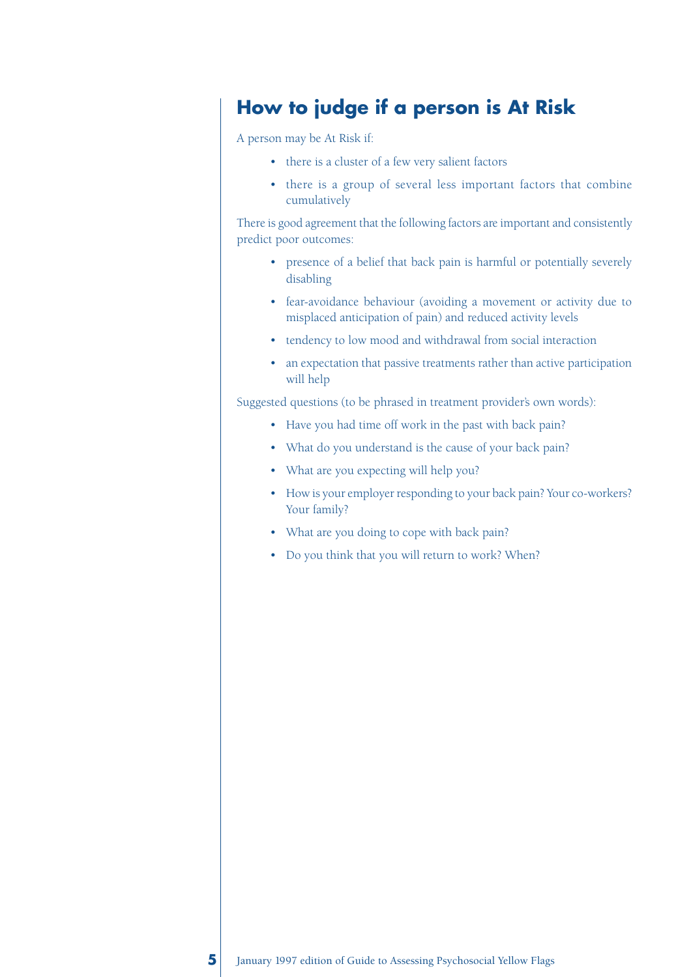## **How to judge if a person is At Risk**

A person may be At Risk if:

- there is a cluster of a few very salient factors
- there is a group of several less important factors that combine cumulatively

There is good agreement that the following factors are important and consistently predict poor outcomes:

- presence of a belief that back pain is harmful or potentially severely disabling
- fear-avoidance behaviour (avoiding a movement or activity due to misplaced anticipation of pain) and reduced activity levels
- tendency to low mood and withdrawal from social interaction
- an expectation that passive treatments rather than active participation will help

Suggested questions (to be phrased in treatment provider's own words):

- Have you had time off work in the past with back pain?
- What do you understand is the cause of your back pain?
- What are you expecting will help you?
- How is your employer responding to your back pain? Your co-workers? Your family?
- What are you doing to cope with back pain?
- Do you think that you will return to work? When?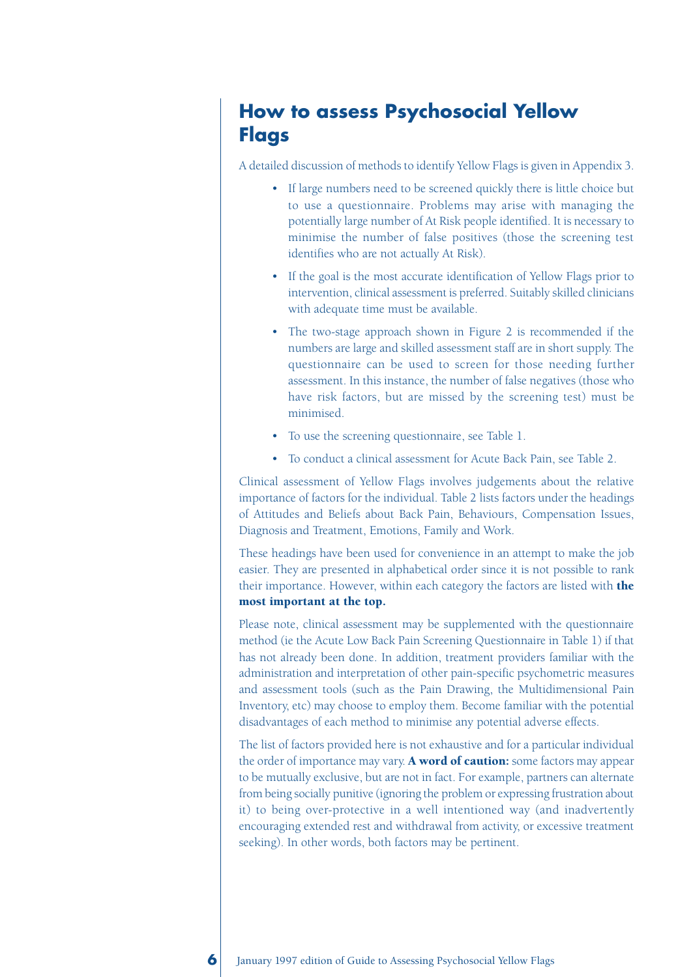## **How to assess Psychosocial Yellow Flags**

A detailed discussion of methods to identify Yellow Flags is given in Appendix 3.

- If large numbers need to be screened quickly there is little choice but to use a questionnaire. Problems may arise with managing the potentially large number of At Risk people identified. It is necessary to minimise the number of false positives (those the screening test identifies who are not actually At Risk).
- If the goal is the most accurate identification of Yellow Flags prior to intervention, clinical assessment is preferred. Suitably skilled clinicians with adequate time must be available.
- The two-stage approach shown in Figure 2 is recommended if the numbers are large and skilled assessment staff are in short supply. The questionnaire can be used to screen for those needing further assessment. In this instance, the number of false negatives (those who have risk factors, but are missed by the screening test) must be minimised.
- To use the screening questionnaire, see Table 1.
- To conduct a clinical assessment for Acute Back Pain, see Table 2.

Clinical assessment of Yellow Flags involves judgements about the relative importance of factors for the individual. Table 2 lists factors under the headings of Attitudes and Beliefs about Back Pain, Behaviours, Compensation Issues, Diagnosis and Treatment, Emotions, Family and Work.

These headings have been used for convenience in an attempt to make the job easier. They are presented in alphabetical order since it is not possible to rank their importance. However, within each category the factors are listed with **the** most important at the top.

Please note, clinical assessment may be supplemented with the questionnaire method (ie the Acute Low Back Pain Screening Questionnaire in Table 1) if that has not already been done. In addition, treatment providers familiar with the administration and interpretation of other pain-specific psychometric measures and assessment tools (such as the Pain Drawing, the Multidimensional Pain Inventory, etc) may choose to employ them. Become familiar with the potential disadvantages of each method to minimise any potential adverse effects.

The list of factors provided here is not exhaustive and for a particular individual the order of importance may vary. A word of caution: some factors may appear to be mutually exclusive, but are not in fact. For example, partners can alternate from being socially punitive (ignoring the problem or expressing frustration about it) to being over-protective in a well intentioned way (and inadvertently encouraging extended rest and withdrawal from activity, or excessive treatment seeking). In other words, both factors may be pertinent.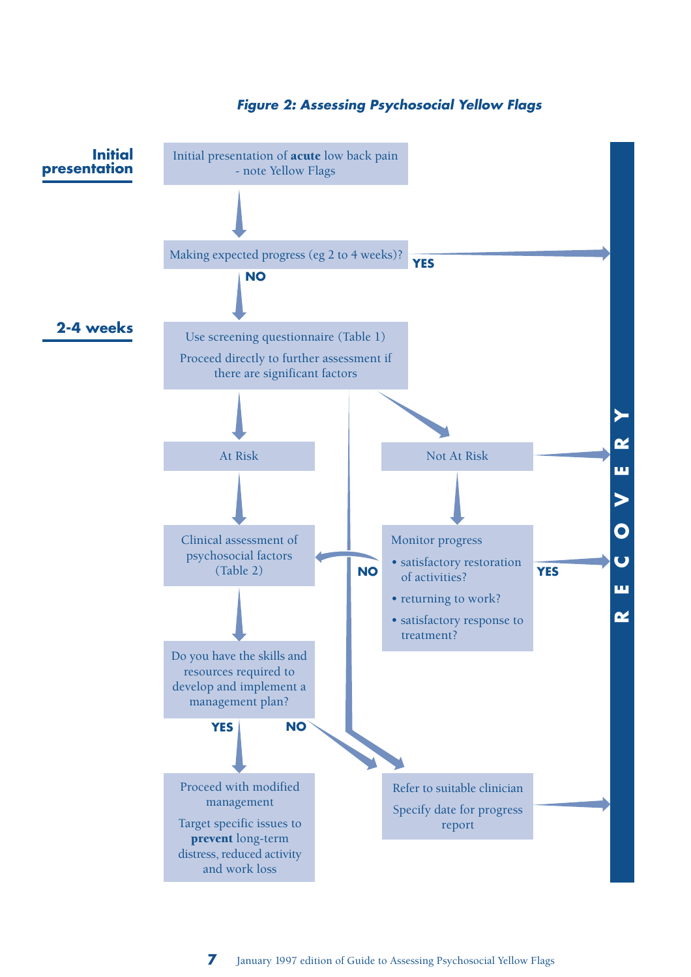

#### **Figure 2: Assessing Psychosocial Yellow Flags**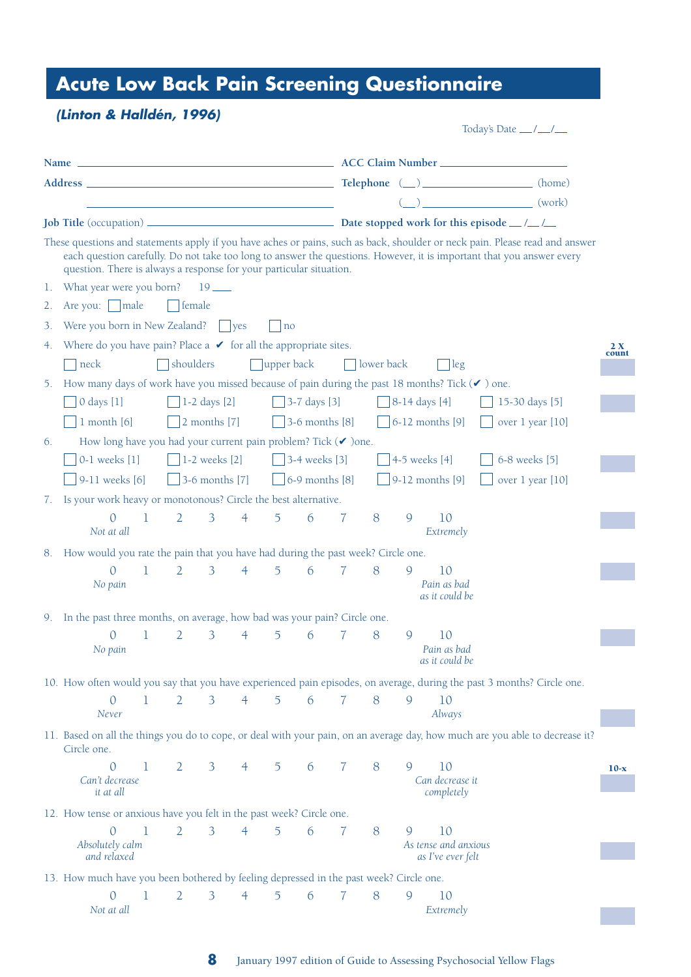## **Acute Low Back Pain Screening Questionnaire**

### **(Linton & Halldén, 1996)**

|    |                                                                                                                                                                                                                                                                                                                              |    |                |                       |                |                 |                        |                          |            |   |                                                                                                                 |  | Today's Date _/_/_/_ |        |  |               |
|----|------------------------------------------------------------------------------------------------------------------------------------------------------------------------------------------------------------------------------------------------------------------------------------------------------------------------------|----|----------------|-----------------------|----------------|-----------------|------------------------|--------------------------|------------|---|-----------------------------------------------------------------------------------------------------------------|--|----------------------|--------|--|---------------|
|    | Name.                                                                                                                                                                                                                                                                                                                        |    |                |                       |                |                 |                        |                          |            |   | and the state of the state of the state of the state of the state of the state of the state of the state of the |  |                      |        |  |               |
|    | Address                                                                                                                                                                                                                                                                                                                      |    |                |                       |                |                 |                        |                          |            |   |                                                                                                                 |  |                      | (home) |  |               |
|    |                                                                                                                                                                                                                                                                                                                              |    |                |                       |                |                 |                        |                          |            |   | (work)                                                                                                          |  |                      |        |  |               |
|    |                                                                                                                                                                                                                                                                                                                              |    |                |                       |                |                 |                        |                          |            |   |                                                                                                                 |  |                      |        |  |               |
|    | These questions and statements apply if you have aches or pains, such as back, shoulder or neck pain. Please read and answer<br>each question carefully. Do not take too long to answer the questions. However, it is important that you answer every<br>question. There is always a response for your particular situation. |    |                |                       |                |                 |                        |                          |            |   |                                                                                                                 |  |                      |        |  |               |
| 1. | What year were you born? 19                                                                                                                                                                                                                                                                                                  |    |                |                       |                |                 |                        |                          |            |   |                                                                                                                 |  |                      |        |  |               |
| 2. | male<br>Are you:<br>female                                                                                                                                                                                                                                                                                                   |    |                |                       |                |                 |                        |                          |            |   |                                                                                                                 |  |                      |        |  |               |
| 3. | Were you born in New Zealand?<br>$\vert$ yes<br>no<br>Where do you have pain? Place a $\checkmark$ for all the appropriate sites.                                                                                                                                                                                            |    |                |                       |                |                 |                        |                          |            |   |                                                                                                                 |  |                      |        |  |               |
| 4. |                                                                                                                                                                                                                                                                                                                              |    |                |                       |                |                 |                        |                          |            |   |                                                                                                                 |  |                      |        |  | $2X$<br>count |
|    | neck                                                                                                                                                                                                                                                                                                                         |    | shoulders      |                       |                | upper back      |                        |                          | lower back |   | $\lvert \lg$                                                                                                    |  |                      |        |  |               |
| 5. | How many days of work have you missed because of pain during the past 18 months? Tick $(\vee)$ one.                                                                                                                                                                                                                          |    |                |                       |                |                 |                        |                          |            |   |                                                                                                                 |  |                      |        |  |               |
|    | $0 \text{ days} [1]$                                                                                                                                                                                                                                                                                                         |    |                | $\Box$ 1-2 days [2]   |                |                 | $\Box$ 3-7 days [3]    |                          |            |   | $ 8-14 \text{ days } [4]$                                                                                       |  | 15-30 days [5]       |        |  |               |
|    | $1$ month $[6]$                                                                                                                                                                                                                                                                                                              |    |                | $\vert$ 2 months [7]  |                |                 | $\vert$ 3-6 months [8] |                          |            |   | 6-12 months [9]                                                                                                 |  | over 1 year [10]     |        |  |               |
| 6. | How long have you had your current pain problem? Tick $(V)$ one.                                                                                                                                                                                                                                                             |    |                |                       |                |                 |                        |                          |            |   |                                                                                                                 |  |                      |        |  |               |
|    | $0-1$ weeks [1]                                                                                                                                                                                                                                                                                                              |    |                | $1-2$ weeks $[2]$     |                |                 |                        | $3-4$ weeks [3]          |            |   | $\Box$ 4-5 weeks [4]                                                                                            |  | 6-8 weeks [5]        |        |  |               |
|    | 9-11 weeks [6]                                                                                                                                                                                                                                                                                                               |    |                | $\Box$ 3-6 months [7] |                |                 |                        | $\bigcup$ 6-9 months [8] |            |   | 9-12 months [9]                                                                                                 |  | over 1 year [10]     |        |  |               |
| 7. | Is your work heavy or monotonous? Circle the best alternative.                                                                                                                                                                                                                                                               |    |                |                       |                |                 |                        |                          |            |   |                                                                                                                 |  |                      |        |  |               |
|    | $\Omega$                                                                                                                                                                                                                                                                                                                     | T  | $\overline{2}$ | 3                     | $\overline{4}$ | 5 <sup>5</sup>  | 6                      | $\overline{7}$           | 8          | 9 | 10                                                                                                              |  |                      |        |  |               |
|    | Not at all                                                                                                                                                                                                                                                                                                                   |    |                |                       |                |                 |                        |                          |            |   | Extremely                                                                                                       |  |                      |        |  |               |
| 8. | How would you rate the pain that you have had during the past week? Circle one.                                                                                                                                                                                                                                              |    |                |                       |                |                 |                        |                          |            |   |                                                                                                                 |  |                      |        |  |               |
|    | $\Omega$<br>No pain                                                                                                                                                                                                                                                                                                          | T. | $\overline{2}$ | 3                     | $\overline{4}$ | $5\overline{)}$ | 6                      | $\mathcal{I}$            | 8          | 9 | 10<br>Pain as bad                                                                                               |  |                      |        |  |               |
|    |                                                                                                                                                                                                                                                                                                                              |    |                |                       |                |                 |                        |                          |            |   | as it could be                                                                                                  |  |                      |        |  |               |
|    | 9. In the past three months, on average, how bad was your pain? Circle one.                                                                                                                                                                                                                                                  |    |                |                       |                |                 |                        |                          |            |   |                                                                                                                 |  |                      |        |  |               |
|    | $\mathbf{0}$                                                                                                                                                                                                                                                                                                                 | 1  | $\overline{2}$ | 3                     | $\overline{4}$ | 5               | 6                      | $\mathcal{I}$            | 8          | 9 | 10                                                                                                              |  |                      |        |  |               |
|    | No pain                                                                                                                                                                                                                                                                                                                      |    |                |                       |                |                 |                        |                          |            |   | Pain as bad<br>as it could be                                                                                   |  |                      |        |  |               |
|    | 10. How often would you say that you have experienced pain episodes, on average, during the past 3 months? Circle one.                                                                                                                                                                                                       |    |                |                       |                |                 |                        |                          |            |   |                                                                                                                 |  |                      |        |  |               |
|    | $\Omega$                                                                                                                                                                                                                                                                                                                     | 1. | $\overline{2}$ | 3                     | $\overline{4}$ | 5               | 6                      | $\mathcal{I}$            | 8          | 9 | 10                                                                                                              |  |                      |        |  |               |
|    | Never                                                                                                                                                                                                                                                                                                                        |    |                |                       |                |                 |                        |                          |            |   | Always                                                                                                          |  |                      |        |  |               |
|    | 11. Based on all the things you do to cope, or deal with your pain, on an average day, how much are you able to decrease it?<br>Circle one.                                                                                                                                                                                  |    |                |                       |                |                 |                        |                          |            |   |                                                                                                                 |  |                      |        |  |               |
|    | $\Omega$                                                                                                                                                                                                                                                                                                                     | 1  | $\overline{2}$ | 3                     | 4              | 5               | 6                      | $\overline{7}$           | 8          | 9 | 10                                                                                                              |  |                      |        |  | $10-x$        |
|    | Can't decrease<br>it at all                                                                                                                                                                                                                                                                                                  |    |                |                       |                |                 |                        |                          |            |   | Can decrease it<br>completely                                                                                   |  |                      |        |  |               |
|    | 12. How tense or anxious have you felt in the past week? Circle one.                                                                                                                                                                                                                                                         |    |                |                       |                |                 |                        |                          |            |   |                                                                                                                 |  |                      |        |  |               |
|    | $\Omega$                                                                                                                                                                                                                                                                                                                     | 1  | 2              | 3                     | 4              | 5               | 6                      | $\overline{7}$           | 8          | 9 | 10                                                                                                              |  |                      |        |  |               |
|    | Absolutely calm                                                                                                                                                                                                                                                                                                              |    |                |                       |                |                 |                        |                          |            |   | As tense and anxious                                                                                            |  |                      |        |  |               |
|    | and relaxed                                                                                                                                                                                                                                                                                                                  |    |                |                       |                |                 |                        |                          |            |   | as I've ever felt                                                                                               |  |                      |        |  |               |
|    | 13. How much have you been bothered by feeling depressed in the past week? Circle one.                                                                                                                                                                                                                                       |    |                |                       |                |                 |                        |                          |            |   |                                                                                                                 |  |                      |        |  |               |
|    | $\Omega$<br>Not at all                                                                                                                                                                                                                                                                                                       | 1  | $\overline{2}$ | 3                     | 4              | 5               | 6                      | 7                        | 8          | 9 | 10<br>Extremely                                                                                                 |  |                      |        |  |               |
|    |                                                                                                                                                                                                                                                                                                                              |    |                |                       |                |                 |                        |                          |            |   |                                                                                                                 |  |                      |        |  |               |

**8** January 1997 edition of Guide to Assessing Psychosocial Yellow Flags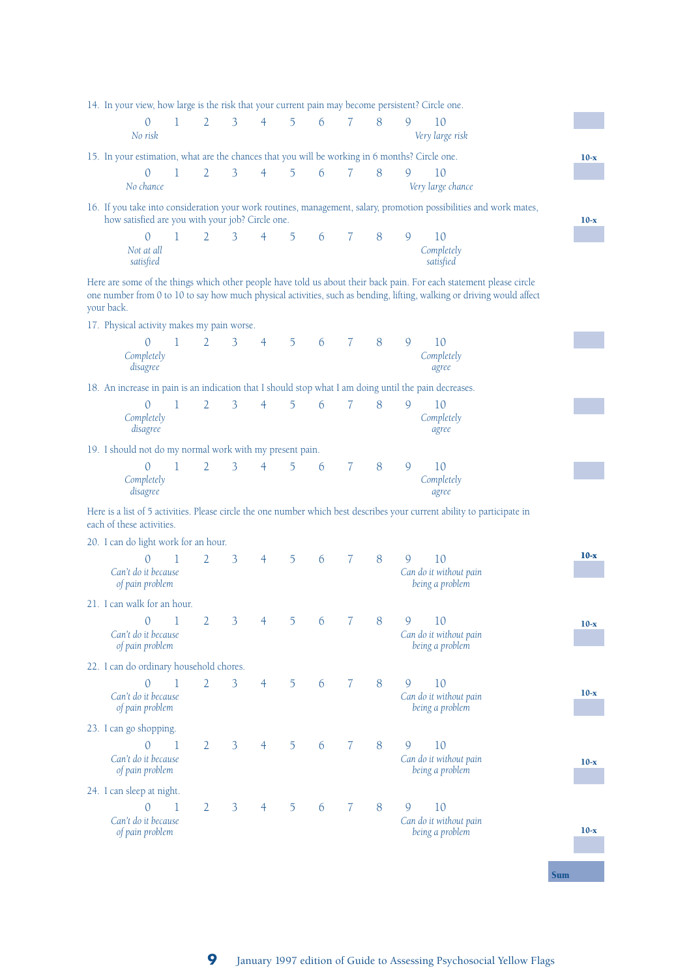| 14. In your view, how large is the risk that your current pain may become persistent? Circle one.                                                                                                                                                           |              |                           |                |                |                |   |                |   |                |                                                                                                                          |            |        |
|-------------------------------------------------------------------------------------------------------------------------------------------------------------------------------------------------------------------------------------------------------------|--------------|---------------------------|----------------|----------------|----------------|---|----------------|---|----------------|--------------------------------------------------------------------------------------------------------------------------|------------|--------|
| $\Omega$<br>No risk                                                                                                                                                                                                                                         | 1            | $\overline{2}$            | 3              | $\overline{4}$ | 5              | 6 | 7              | 8 | 9              | 10<br>Very large risk                                                                                                    |            |        |
| 15. In your estimation, what are the chances that you will be working in 6 months? Circle one.                                                                                                                                                              |              |                           |                |                |                |   |                |   |                |                                                                                                                          |            | $10-x$ |
| $\Omega$<br>No chance                                                                                                                                                                                                                                       | 1            | $\mathbf{2}^{\mathsf{I}}$ | 3              | $\overline{4}$ | 5              | 6 | $\mathcal{I}$  | 8 | 9              | 10<br>Very large chance                                                                                                  |            |        |
| how satisfied are you with your job? Circle one.                                                                                                                                                                                                            |              |                           |                |                |                |   |                |   |                | 16. If you take into consideration your work routines, management, salary, promotion possibilities and work mates,       |            | $10-x$ |
| 0<br>Not at all<br>satisfied                                                                                                                                                                                                                                | 1            | $\mathbf{2}^{\prime}$     | 3              | 4              | $\overline{5}$ | 6 | 7              | 8 | 9              | 10<br>Completely<br>satisfied                                                                                            |            |        |
| Here are some of the things which other people have told us about their back pain. For each statement please circle<br>one number from 0 to 10 to say how much physical activities, such as bending, lifting, walking or driving would affect<br>your back. |              |                           |                |                |                |   |                |   |                |                                                                                                                          |            |        |
| 17. Physical activity makes my pain worse.                                                                                                                                                                                                                  |              |                           |                |                |                |   |                |   |                |                                                                                                                          |            |        |
| $\Omega$<br>Completely<br>disagree                                                                                                                                                                                                                          | $\mathbf{1}$ | $\mathcal{L}$             | 3              | 4              | $5^{\circ}$    | 6 | $\overline{7}$ | 8 | 9              | 10<br>Completely<br>agree                                                                                                |            |        |
| 18. An increase in pain is an indication that I should stop what I am doing until the pain decreases.                                                                                                                                                       |              |                           |                |                |                |   |                |   |                |                                                                                                                          |            |        |
| 0<br>Completely<br>disagree                                                                                                                                                                                                                                 | T            | 2                         | 3              | 4              | 5              | 6 | 7              | 8 | 9              | 10<br>Completely<br>agree                                                                                                |            |        |
| 19. I should not do my normal work with my present pain.                                                                                                                                                                                                    |              |                           |                |                |                |   |                |   |                |                                                                                                                          |            |        |
| $\Omega$<br>Completely<br>disagree                                                                                                                                                                                                                          | -1           | $\overline{2}$            | 3              | 4              | 5              | 6 | 7              | 8 | $\overline{9}$ | 10<br>Completely<br>agree                                                                                                |            |        |
| each of these activities.                                                                                                                                                                                                                                   |              |                           |                |                |                |   |                |   |                | Here is a list of 5 activities. Please circle the one number which best describes your current ability to participate in |            |        |
| 20. I can do light work for an hour.                                                                                                                                                                                                                        |              |                           |                |                |                |   |                |   |                |                                                                                                                          |            |        |
| 0                                                                                                                                                                                                                                                           | 1            | 2                         | 3              | $\overline{4}$ | $\overline{5}$ | 6 | $\mathbf{7}$   | 8 | 9              | 10                                                                                                                       |            | $10-x$ |
| Can't do it because<br>of pain problem                                                                                                                                                                                                                      |              |                           |                |                |                |   |                |   |                | Can do it without pain<br>being a problem                                                                                |            |        |
| 21. I can walk for an hour.                                                                                                                                                                                                                                 |              |                           |                |                |                |   |                |   |                |                                                                                                                          |            |        |
| 0<br>Can't do it because<br>of pain problem                                                                                                                                                                                                                 | 1            | $\overline{2}$            | 3              | 4              | 5              | 6 | 7              | 8 | 9              | 10<br>Can do it without pain<br>being a problem                                                                          |            | $10-x$ |
| 22. I can do ordinary household chores.                                                                                                                                                                                                                     |              |                           |                |                |                |   |                |   |                |                                                                                                                          |            |        |
| $\Omega$<br>Can't do it because<br>of pain problem                                                                                                                                                                                                          | -1           | $\overline{2}$            | 3              | $\overline{4}$ | 5              | 6 | $\overline{7}$ | 8 | 9              | <sup>10</sup><br>Can do it without pain<br>being a problem                                                               |            | $10-x$ |
| 23. I can go shopping.                                                                                                                                                                                                                                      |              |                           |                |                |                |   |                |   |                |                                                                                                                          |            |        |
| 0<br>Can't do it because<br>of pain problem                                                                                                                                                                                                                 | 1            | $\overline{2}$            | $\mathfrak{Z}$ | $\overline{4}$ | 5              | 6 | $\overline{7}$ | 8 | 9              | 10<br>Can do it without pain<br>being a problem                                                                          |            | $10-x$ |
| 24. I can sleep at night.                                                                                                                                                                                                                                   |              |                           |                |                |                |   |                |   |                |                                                                                                                          |            |        |
| $\Omega$<br>Can't do it because<br>of pain problem                                                                                                                                                                                                          | 1            | $\overline{2}$            | $\mathfrak{Z}$ | $\overline{4}$ | 5              | 6 | $\overline{7}$ | 8 | 9              | 10<br>Can do it without pain<br>being a problem                                                                          |            | $10-x$ |
|                                                                                                                                                                                                                                                             |              |                           |                |                |                |   |                |   |                |                                                                                                                          | <b>Sum</b> |        |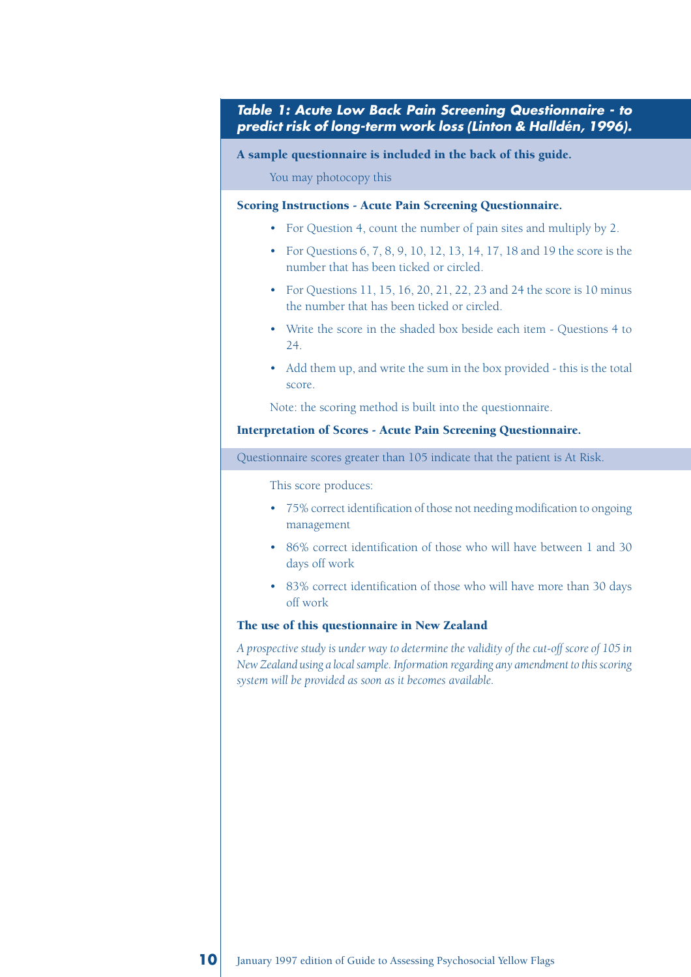**Table 1: Acute Low Back Pain Screening Questionnaire - to predict risk of long-term work loss (Linton & Halldén, 1996).**

A sample questionnaire is included in the back of this guide.

You may photocopy this

#### Scoring Instructions - Acute Pain Screening Questionnaire.

- For Question 4, count the number of pain sites and multiply by 2.
- For Questions  $6, 7, 8, 9, 10, 12, 13, 14, 17, 18$  and 19 the score is the number that has been ticked or circled.
- For Questions 11, 15, 16, 20, 21, 22, 23 and 24 the score is 10 minus the number that has been ticked or circled.
- Write the score in the shaded box beside each item Questions 4 to 24.
- Add them up, and write the sum in the box provided this is the total score.

Note: the scoring method is built into the questionnaire.

#### Interpretation of Scores - Acute Pain Screening Questionnaire.

Questionnaire scores greater than 105 indicate that the patient is At Risk.

This score produces:

- 75% correct identification of those not needing modification to ongoing management
- 86% correct identification of those who will have between 1 and 30 days off work
- 83% correct identification of those who will have more than 30 days off work

#### The use of this questionnaire in New Zealand

*A prospective study is under way to determine the validity of the cut-off score of 105 in New Zealand using a local sample. Information regarding any amendment to this scoring system will be provided as soon as it becomes available.*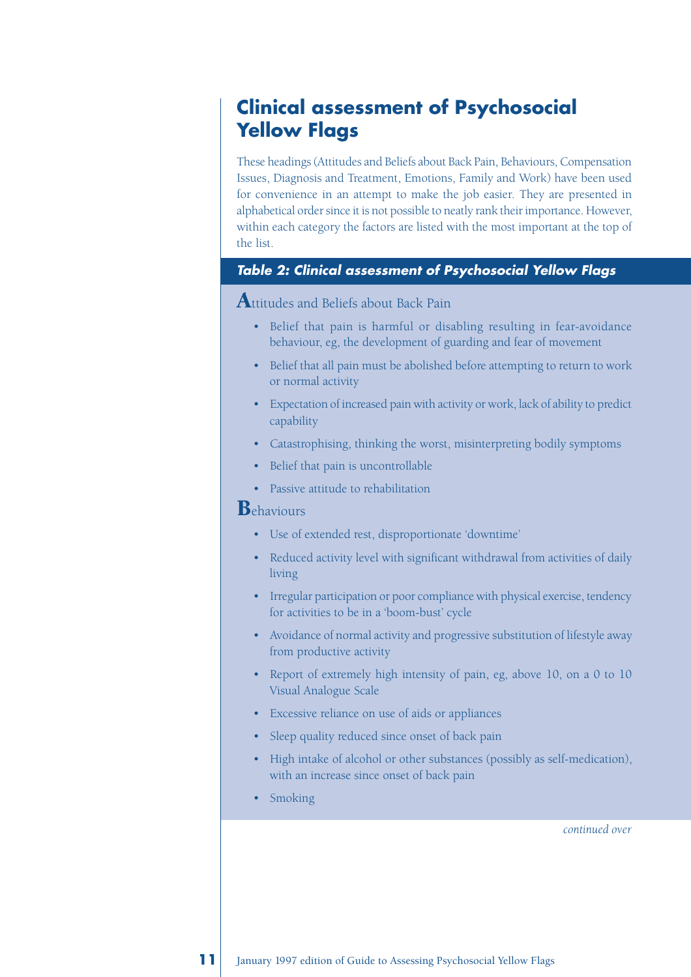## **Clinical assessment of Psychosocial Yellow Flags**

These headings (Attitudes and Beliefs about Back Pain, Behaviours, Compensation Issues, Diagnosis and Treatment, Emotions, Family and Work) have been used for convenience in an attempt to make the job easier. They are presented in alphabetical order since it is not possible to neatly rank their importance. However, within each category the factors are listed with the most important at the top of the list.

#### **Table 2: Clinical assessment of Psychosocial Yellow Flags**

Attitudes and Beliefs about Back Pain

- Belief that pain is harmful or disabling resulting in fear-avoidance behaviour, eg, the development of guarding and fear of movement
- Belief that all pain must be abolished before attempting to return to work or normal activity
- Expectation of increased pain with activity or work, lack of ability to predict capability
- Catastrophising, thinking the worst, misinterpreting bodily symptoms
- Belief that pain is uncontrollable
- Passive attitude to rehabilitation

#### **B**ehaviours

- Use of extended rest, disproportionate 'downtime'
- Reduced activity level with significant withdrawal from activities of daily living
- Irregular participation or poor compliance with physical exercise, tendency for activities to be in a 'boom-bust' cycle
- Avoidance of normal activity and progressive substitution of lifestyle away from productive activity
- Report of extremely high intensity of pain, eg, above 10, on a 0 to 10 Visual Analogue Scale
- Excessive reliance on use of aids or appliances
- Sleep quality reduced since onset of back pain
- High intake of alcohol or other substances (possibly as self-medication), with an increase since onset of back pain
- Smoking

*continued over*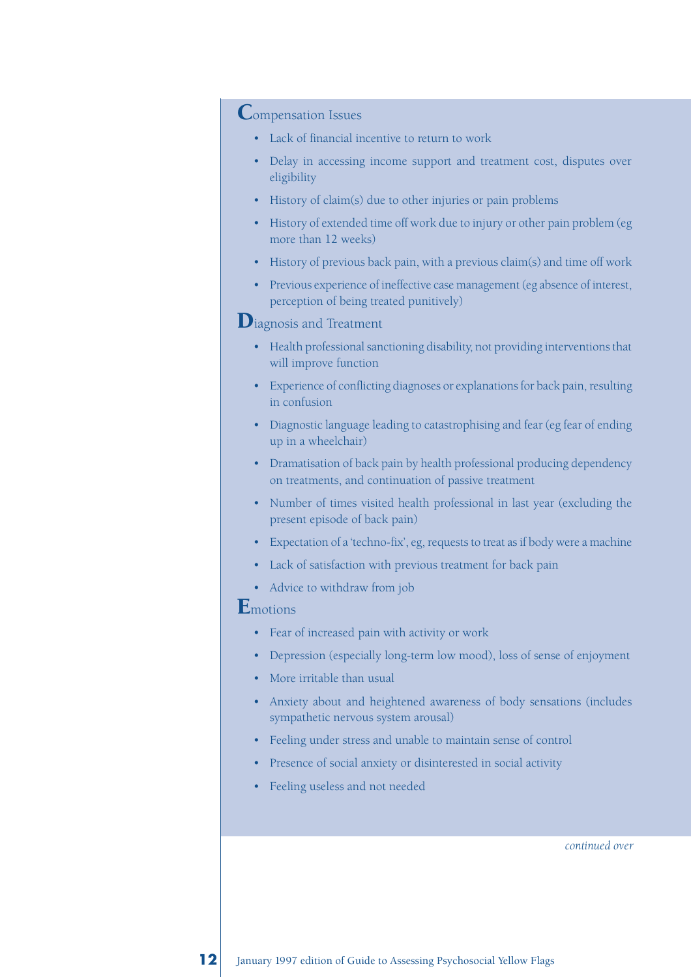#### **Compensation Issues**

- Lack of financial incentive to return to work
- Delay in accessing income support and treatment cost, disputes over eligibility
- History of claim(s) due to other injuries or pain problems
- History of extended time off work due to injury or other pain problem (eg more than 12 weeks)
- History of previous back pain, with a previous claim(s) and time off work
- Previous experience of ineffective case management (eg absence of interest, perception of being treated punitively)

#### **D**iagnosis and Treatment

- Health professional sanctioning disability, not providing interventions that will improve function
- Experience of conflicting diagnoses or explanations for back pain, resulting in confusion
- Diagnostic language leading to catastrophising and fear (eg fear of ending up in a wheelchair)
- Dramatisation of back pain by health professional producing dependency on treatments, and continuation of passive treatment
- Number of times visited health professional in last year (excluding the present episode of back pain)
- Expectation of a 'techno-fix', eg, requests to treat as if body were a machine
- Lack of satisfaction with previous treatment for back pain
- Advice to withdraw from job

#### **E**motions

- Fear of increased pain with activity or work
- Depression (especially long-term low mood), loss of sense of enjoyment
- More irritable than usual
- Anxiety about and heightened awareness of body sensations (includes sympathetic nervous system arousal)
- Feeling under stress and unable to maintain sense of control
- Presence of social anxiety or disinterested in social activity
- Feeling useless and not needed

*continued over*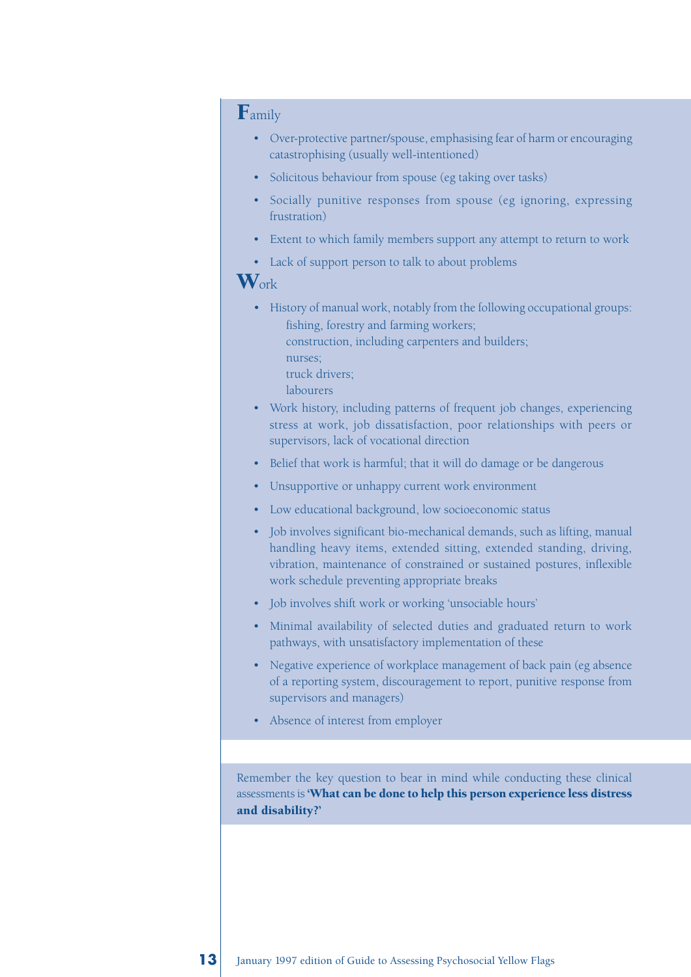## Family

- Over-protective partner/spouse, emphasising fear of harm or encouraging catastrophising (usually well-intentioned)
- Solicitous behaviour from spouse (eg taking over tasks)
- Socially punitive responses from spouse (eg ignoring, expressing frustration)
- Extent to which family members support any attempt to return to work
- Lack of support person to talk to about problems

#### $\mathbf{W}_{\text{ork}}$

- History of manual work, notably from the following occupational groups: fishing, forestry and farming workers;
	- construction, including carpenters and builders;
	- nurses;
	- truck drivers;
	- labourers
- Work history, including patterns of frequent job changes, experiencing stress at work, job dissatisfaction, poor relationships with peers or supervisors, lack of vocational direction
- Belief that work is harmful; that it will do damage or be dangerous
- Unsupportive or unhappy current work environment
- Low educational background, low socioeconomic status
- Job involves significant bio-mechanical demands, such as lifting, manual handling heavy items, extended sitting, extended standing, driving, vibration, maintenance of constrained or sustained postures, inflexible work schedule preventing appropriate breaks
- Job involves shift work or working 'unsociable hours'
- Minimal availability of selected duties and graduated return to work pathways, with unsatisfactory implementation of these
- Negative experience of workplace management of back pain (eg absence of a reporting system, discouragement to report, punitive response from supervisors and managers)
- Absence of interest from employer

Remember the key question to bear in mind while conducting these clinical assessments is 'What can be done to help this person experience less distress and disability?'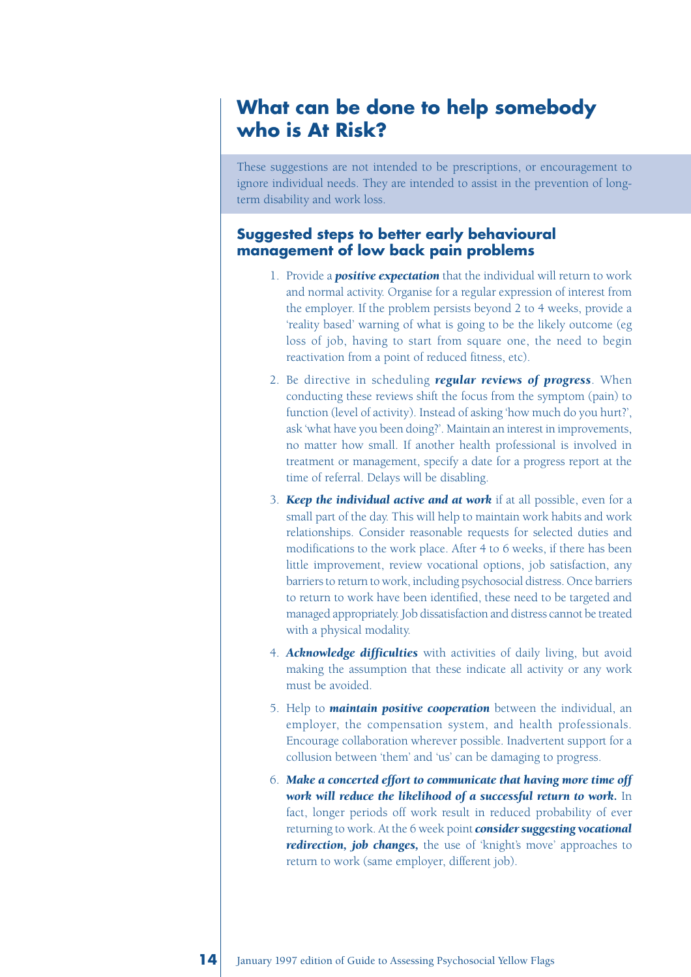## **What can be done to help somebody who is At Risk?**

These suggestions are not intended to be prescriptions, or encouragement to ignore individual needs. They are intended to assist in the prevention of longterm disability and work loss.

#### **Suggested steps to better early behavioural management of low back pain problems**

- 1. Provide a *positive expectation* that the individual will return to work and normal activity. Organise for a regular expression of interest from the employer. If the problem persists beyond 2 to 4 weeks, provide a 'reality based' warning of what is going to be the likely outcome (eg loss of job, having to start from square one, the need to begin reactivation from a point of reduced fitness, etc).
- 2. Be directive in scheduling *regular reviews of progress*. When conducting these reviews shift the focus from the symptom (pain) to function (level of activity). Instead of asking 'how much do you hurt?', ask 'what have you been doing?'. Maintain an interest in improvements, no matter how small. If another health professional is involved in treatment or management, specify a date for a progress report at the time of referral. Delays will be disabling.
- 3. *Keep the individual active and at work* if at all possible, even for a small part of the day. This will help to maintain work habits and work relationships. Consider reasonable requests for selected duties and modifications to the work place. After 4 to 6 weeks, if there has been little improvement, review vocational options, job satisfaction, any barriers to return to work, including psychosocial distress. Once barriers to return to work have been identified, these need to be targeted and managed appropriately. Job dissatisfaction and distress cannot be treated with a physical modality.
- 4. *Acknowledge difficulties* with activities of daily living, but avoid making the assumption that these indicate all activity or any work must be avoided.
- 5. Help to *maintain positive cooperation* between the individual, an employer, the compensation system, and health professionals. Encourage collaboration wherever possible. Inadvertent support for a collusion between 'them' and 'us' can be damaging to progress.
- 6. *Make a concerted effort to communicate that having more time off work will reduce the likelihood of a successful return to work.* In fact, longer periods off work result in reduced probability of ever returning to work. At the 6 week point *consider suggesting vocational redirection, job changes,* the use of 'knight's move' approaches to return to work (same employer, different job).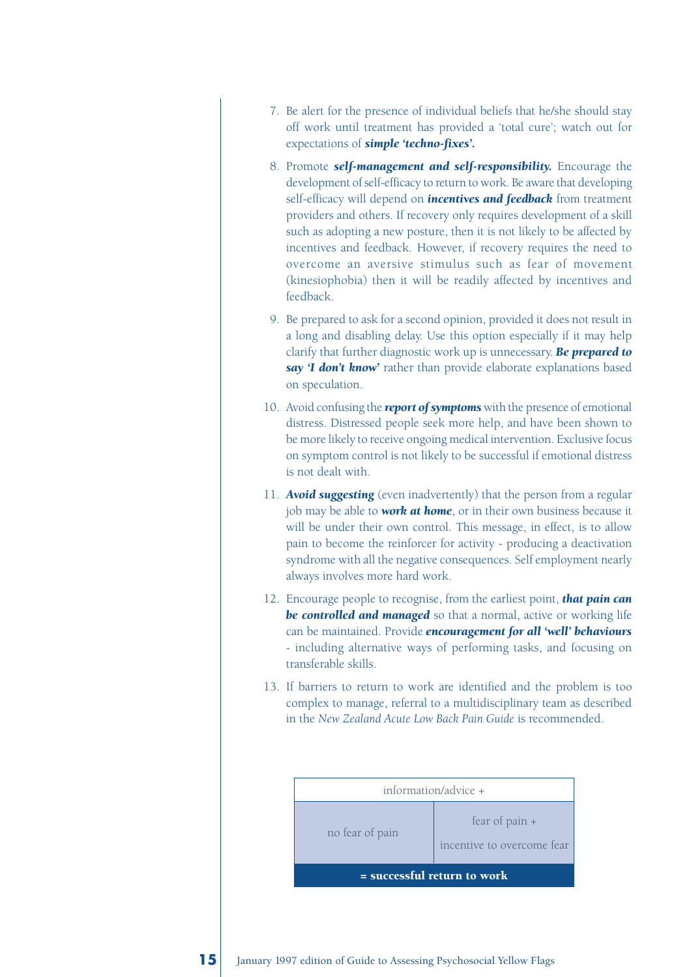- 7. Be alert for the presence of individual beliefs that he/she should stay off work until treatment has provided a 'total cure'; watch out for expectations of *simple 'techno-fixes'.*
- 8. Promote *self-management and self-responsibility.* Encourage the development of self-efficacy to return to work. Be aware that developing self-efficacy will depend on *incentives and feedback* from treatment providers and others. If recovery only requires development of a skill such as adopting a new posture, then it is not likely to be affected by incentives and feedback. However, if recovery requires the need to overcome an aversive stimulus such as fear of movement (kinesiophobia) then it will be readily affected by incentives and feedback.
- 9. Be prepared to ask for a second opinion, provided it does not result in a long and disabling delay. Use this option especially if it may help clarify that further diagnostic work up is unnecessary. *Be prepared to say 'I don't know'* rather than provide elaborate explanations based on speculation.
- 10. Avoid confusing the *report of symptoms* with the presence of emotional distress. Distressed people seek more help, and have been shown to be more likely to receive ongoing medical intervention. Exclusive focus on symptom control is not likely to be successful if emotional distress is not dealt with.
- 11. *Avoid suggesting* (even inadvertently) that the person from a regular job may be able to *work at home*, or in their own business because it will be under their own control. This message, in effect, is to allow pain to become the reinforcer for activity - producing a deactivation syndrome with all the negative consequences. Self employment nearly always involves more hard work.
- 12. Encourage people to recognise, from the earliest point, *that pain can* **be controlled and managed** so that a normal, active or working life can be maintained. Provide *encouragement for all 'well' behaviours* - including alternative ways of performing tasks, and focusing on transferable skills.
- 13. If barriers to return to work are identified and the problem is too complex to manage, referral to a multidisciplinary team as described in the *New Zealand Acute Low Back Pain Guide* is recommended.

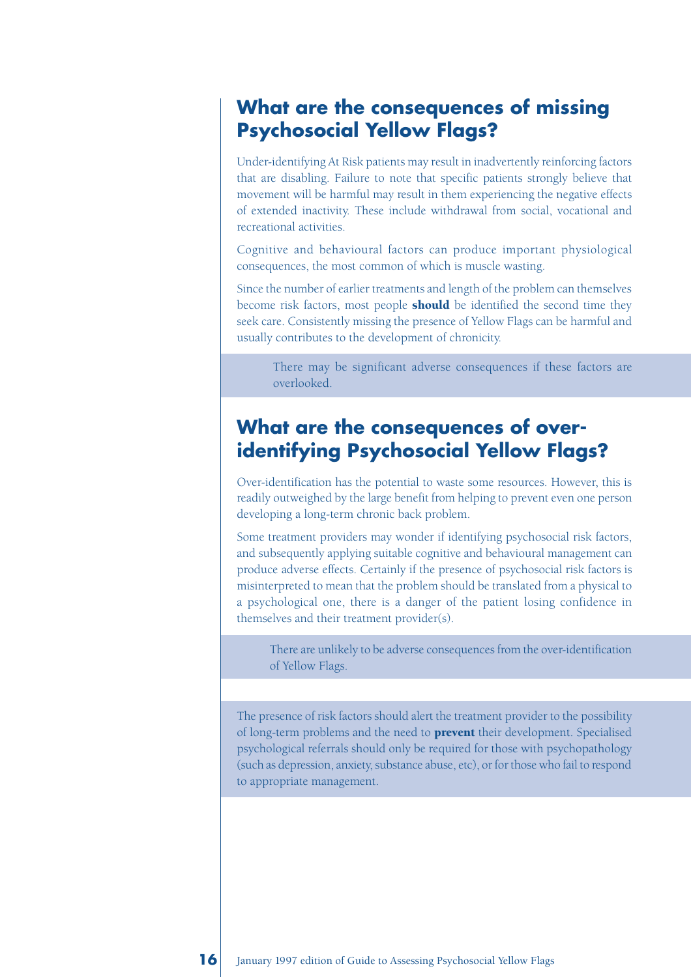## **What are the consequences of missing Psychosocial Yellow Flags?**

Under-identifying At Risk patients may result in inadvertently reinforcing factors that are disabling. Failure to note that specific patients strongly believe that movement will be harmful may result in them experiencing the negative effects of extended inactivity. These include withdrawal from social, vocational and recreational activities.

Cognitive and behavioural factors can produce important physiological consequences, the most common of which is muscle wasting.

Since the number of earlier treatments and length of the problem can themselves become risk factors, most people **should** be identified the second time they seek care. Consistently missing the presence of Yellow Flags can be harmful and usually contributes to the development of chronicity.

There may be significant adverse consequences if these factors are overlooked.

## **What are the consequences of overidentifying Psychosocial Yellow Flags?**

Over-identification has the potential to waste some resources. However, this is readily outweighed by the large benefit from helping to prevent even one person developing a long-term chronic back problem.

Some treatment providers may wonder if identifying psychosocial risk factors, and subsequently applying suitable cognitive and behavioural management can produce adverse effects. Certainly if the presence of psychosocial risk factors is misinterpreted to mean that the problem should be translated from a physical to a psychological one, there is a danger of the patient losing confidence in themselves and their treatment provider(s).

There are unlikely to be adverse consequences from the over-identification of Yellow Flags.

The presence of risk factors should alert the treatment provider to the possibility of long-term problems and the need to **prevent** their development. Specialised psychological referrals should only be required for those with psychopathology (such as depression, anxiety, substance abuse, etc), or for those who fail to respond to appropriate management.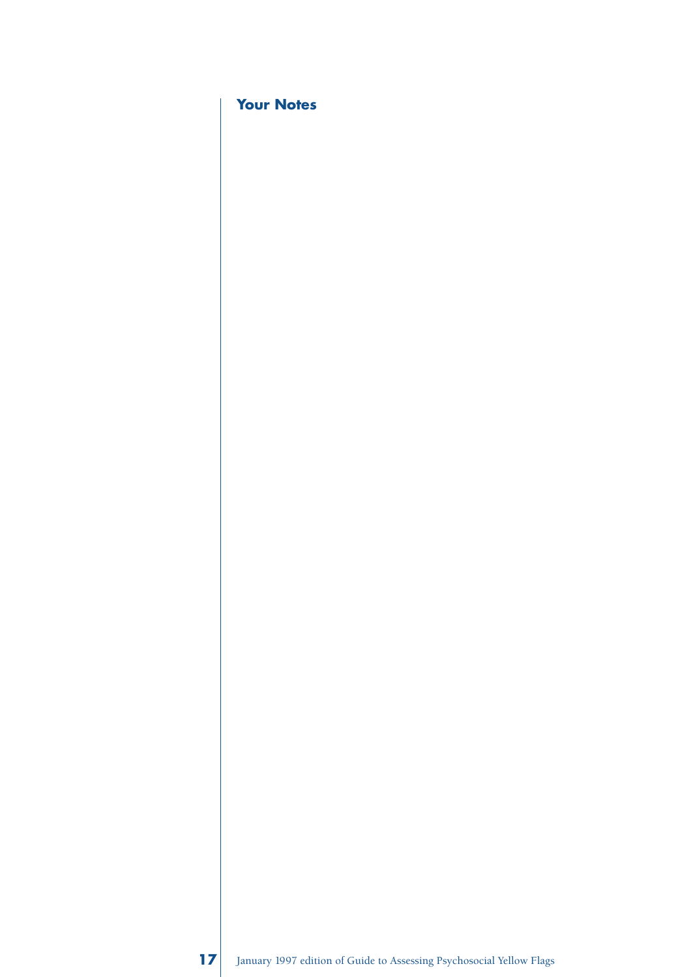#### **Your Notes**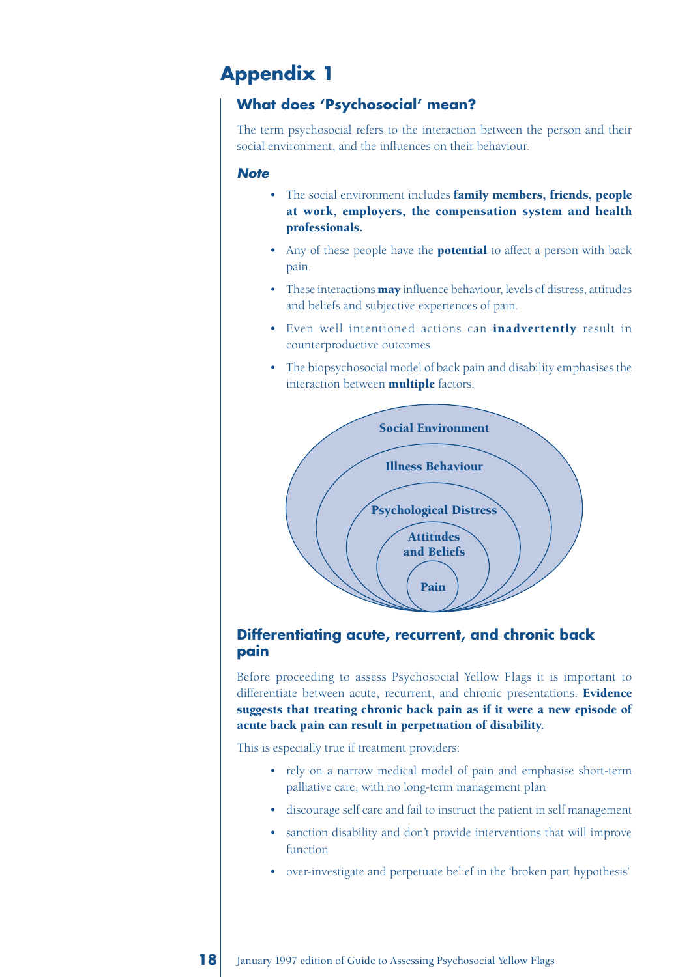## **Appendix 1**

#### **What does 'Psychosocial' mean?**

The term psychosocial refers to the interaction between the person and their social environment, and the influences on their behaviour.

#### **Note**

- The social environment includes family members, friends, people at work, employers, the compensation system and health professionals.
- Any of these people have the **potential** to affect a person with back pain.
- These interactions **may** influence behaviour, levels of distress, attitudes and beliefs and subjective experiences of pain.
- Even well intentioned actions can inadvertently result in counterproductive outcomes.
- The biopsychosocial model of back pain and disability emphasises the interaction between **multiple** factors.



#### **Differentiating acute, recurrent, and chronic back pain**

Before proceeding to assess Psychosocial Yellow Flags it is important to differentiate between acute, recurrent, and chronic presentations. Evidence suggests that treating chronic back pain as if it were a new episode of acute back pain can result in perpetuation of disability.

This is especially true if treatment providers:

- rely on a narrow medical model of pain and emphasise short-term palliative care, with no long-term management plan
- discourage self care and fail to instruct the patient in self management
- sanction disability and don't provide interventions that will improve function
- over-investigate and perpetuate belief in the 'broken part hypothesis'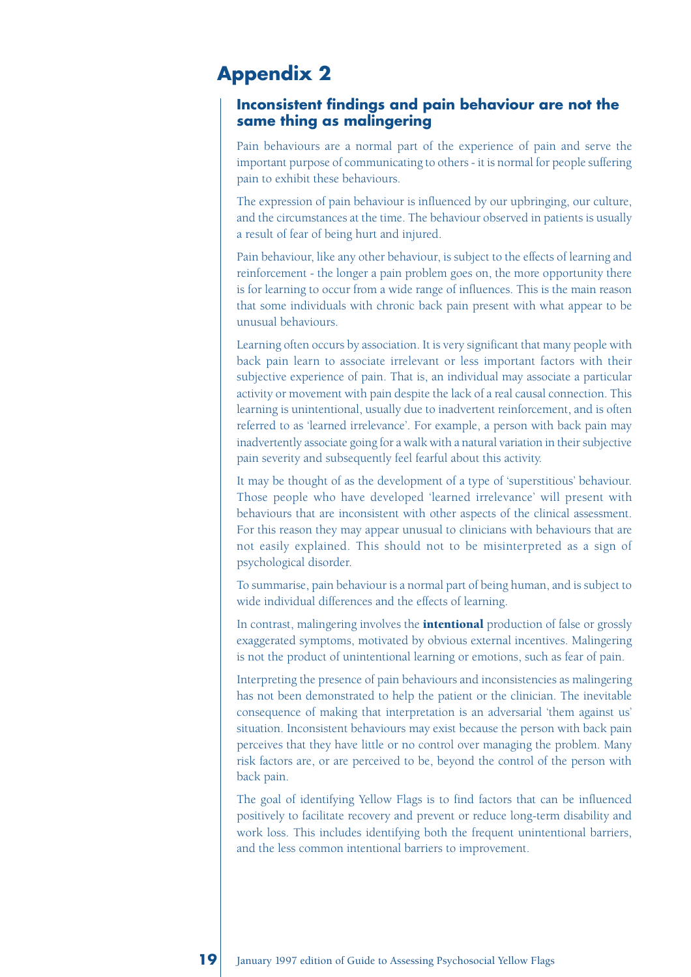## **Appendix 2**

#### **Inconsistent findings and pain behaviour are not the same thing as malingering**

Pain behaviours are a normal part of the experience of pain and serve the important purpose of communicating to others - it is normal for people suffering pain to exhibit these behaviours.

The expression of pain behaviour is influenced by our upbringing, our culture, and the circumstances at the time. The behaviour observed in patients is usually a result of fear of being hurt and injured.

Pain behaviour, like any other behaviour, is subject to the effects of learning and reinforcement - the longer a pain problem goes on, the more opportunity there is for learning to occur from a wide range of influences. This is the main reason that some individuals with chronic back pain present with what appear to be unusual behaviours.

Learning often occurs by association. It is very significant that many people with back pain learn to associate irrelevant or less important factors with their subjective experience of pain. That is, an individual may associate a particular activity or movement with pain despite the lack of a real causal connection. This learning is unintentional, usually due to inadvertent reinforcement, and is often referred to as 'learned irrelevance'. For example, a person with back pain may inadvertently associate going for a walk with a natural variation in their subjective pain severity and subsequently feel fearful about this activity.

It may be thought of as the development of a type of 'superstitious' behaviour. Those people who have developed 'learned irrelevance' will present with behaviours that are inconsistent with other aspects of the clinical assessment. For this reason they may appear unusual to clinicians with behaviours that are not easily explained. This should not to be misinterpreted as a sign of psychological disorder.

To summarise, pain behaviour is a normal part of being human, and is subject to wide individual differences and the effects of learning.

In contrast, malingering involves the **intentional** production of false or grossly exaggerated symptoms, motivated by obvious external incentives. Malingering is not the product of unintentional learning or emotions, such as fear of pain.

Interpreting the presence of pain behaviours and inconsistencies as malingering has not been demonstrated to help the patient or the clinician. The inevitable consequence of making that interpretation is an adversarial 'them against us' situation. Inconsistent behaviours may exist because the person with back pain perceives that they have little or no control over managing the problem. Many risk factors are, or are perceived to be, beyond the control of the person with back pain.

The goal of identifying Yellow Flags is to find factors that can be influenced positively to facilitate recovery and prevent or reduce long-term disability and work loss. This includes identifying both the frequent unintentional barriers, and the less common intentional barriers to improvement.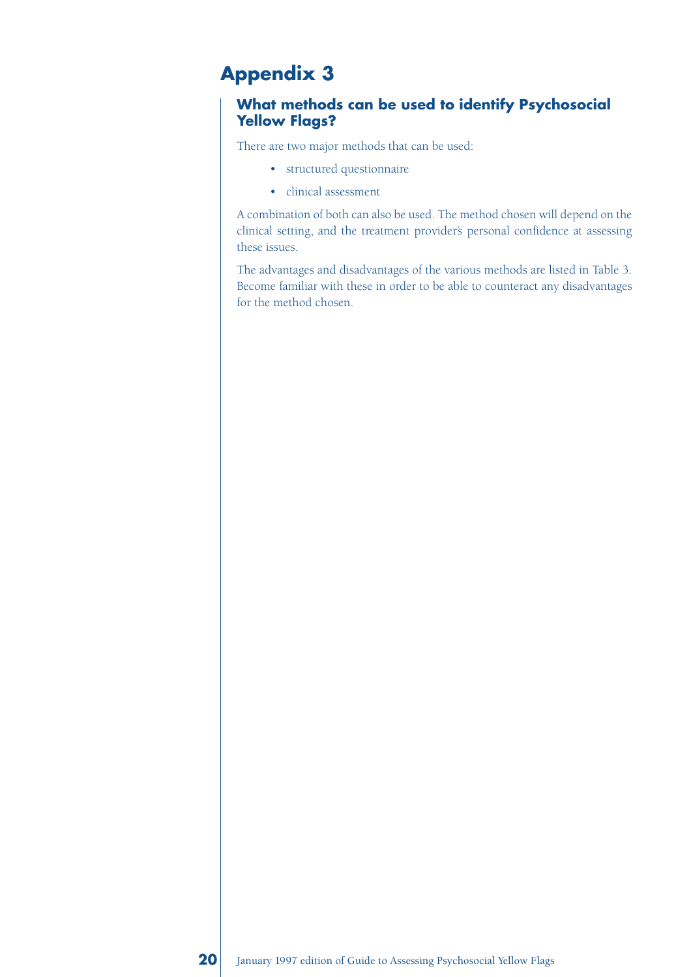## **Appendix 3**

#### **What methods can be used to identify Psychosocial Yellow Flags?**

There are two major methods that can be used:

- structured questionnaire
- clinical assessment

A combination of both can also be used. The method chosen will depend on the clinical setting, and the treatment provider's personal confidence at assessing these issues.

The advantages and disadvantages of the various methods are listed in Table 3. Become familiar with these in order to be able to counteract any disadvantages for the method chosen.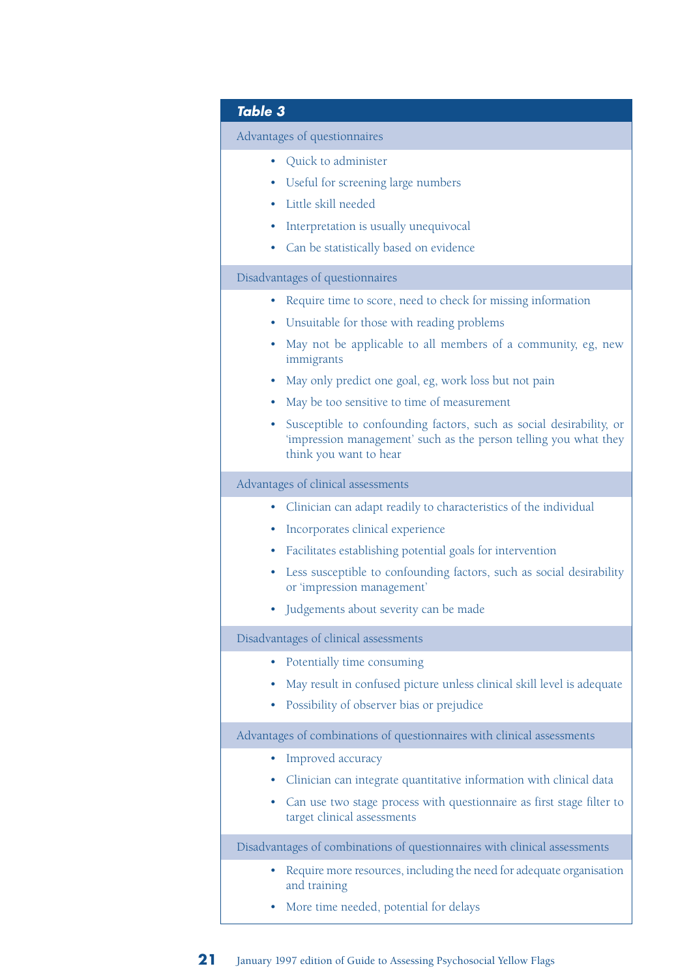| <b>Table 3</b>                                                                                                                                                                                                                                                                                                                                                                                                                                                                                 |
|------------------------------------------------------------------------------------------------------------------------------------------------------------------------------------------------------------------------------------------------------------------------------------------------------------------------------------------------------------------------------------------------------------------------------------------------------------------------------------------------|
| Advantages of questionnaires                                                                                                                                                                                                                                                                                                                                                                                                                                                                   |
| Quick to administer<br>٠<br>Useful for screening large numbers<br>٠<br>Little skill needed<br>٠<br>Interpretation is usually unequivocal<br>٠<br>Can be statistically based on evidence<br>۰                                                                                                                                                                                                                                                                                                   |
| Disadvantages of questionnaires                                                                                                                                                                                                                                                                                                                                                                                                                                                                |
| Require time to score, need to check for missing information<br>٠<br>Unsuitable for those with reading problems<br>۰<br>May not be applicable to all members of a community, eg, new<br>immigrants<br>May only predict one goal, eg, work loss but not pain<br>٠<br>May be too sensitive to time of measurement<br>٠<br>Susceptible to confounding factors, such as social desirability, or<br>٠<br>'impression management' such as the person telling you what they<br>think you want to hear |
| Advantages of clinical assessments                                                                                                                                                                                                                                                                                                                                                                                                                                                             |
| Clinician can adapt readily to characteristics of the individual<br>٠<br>Incorporates clinical experience<br>٠<br>Facilitates establishing potential goals for intervention<br>٠<br>Less susceptible to confounding factors, such as social desirability<br>٠<br>or 'impression management'<br>Judgements about severity can be made<br>$\bullet$                                                                                                                                              |
| Disadvantages of clinical assessments                                                                                                                                                                                                                                                                                                                                                                                                                                                          |
| Potentially time consuming<br>May result in confused picture unless clinical skill level is adequate<br>Possibility of observer bias or prejudice                                                                                                                                                                                                                                                                                                                                              |
| Advantages of combinations of questionnaires with clinical assessments                                                                                                                                                                                                                                                                                                                                                                                                                         |
| Improved accuracy<br>Clinician can integrate quantitative information with clinical data<br>٠<br>Can use two stage process with questionnaire as first stage filter to<br>target clinical assessments<br>Disadvantages of combinations of questionnaires with clinical assessments                                                                                                                                                                                                             |
| Require more resources, including the need for adequate organisation<br>and training<br>More time needed, potential for delays                                                                                                                                                                                                                                                                                                                                                                 |

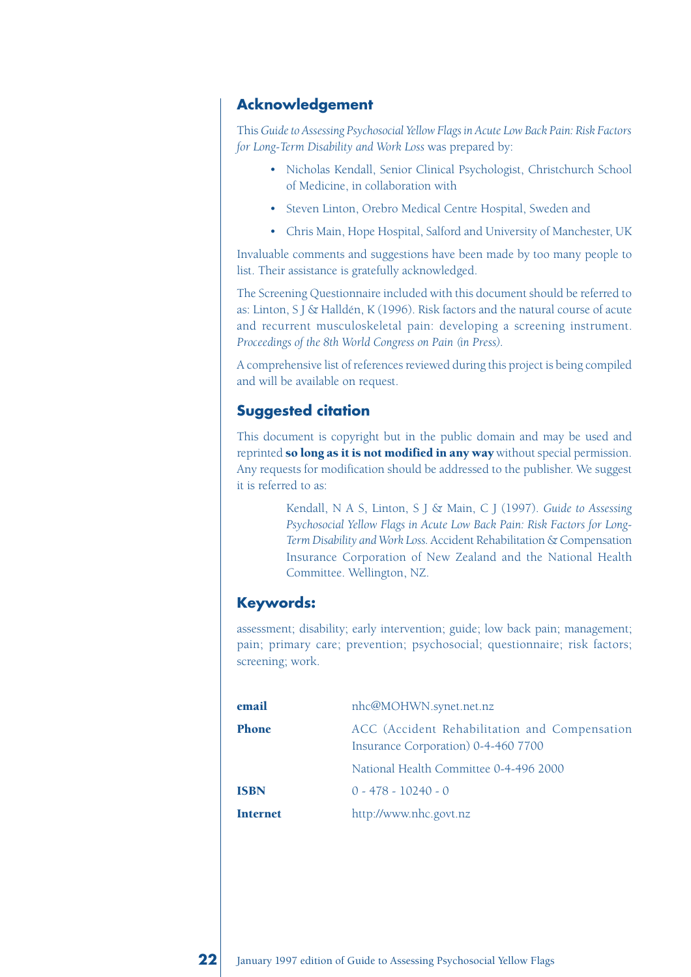#### **Acknowledgement**

This *Guide to Assessing Psychosocial Yellow Flags in Acute Low Back Pain: Risk Factors for Long-Term Disability and Work Loss* was prepared by:

- Nicholas Kendall, Senior Clinical Psychologist, Christchurch School of Medicine, in collaboration with
- Steven Linton, Orebro Medical Centre Hospital, Sweden and
- Chris Main, Hope Hospital, Salford and University of Manchester, UK

Invaluable comments and suggestions have been made by too many people to list. Their assistance is gratefully acknowledged.

The Screening Questionnaire included with this document should be referred to as: Linton, S J & Halldén, K (1996). Risk factors and the natural course of acute and recurrent musculoskeletal pain: developing a screening instrument. *Proceedings of the 8th World Congress on Pain (in Press).*

A comprehensive list of references reviewed during this project is being compiled and will be available on request.

#### **Suggested citation**

This document is copyright but in the public domain and may be used and reprinted so long as it is not modified in any way without special permission. Any requests for modification should be addressed to the publisher. We suggest it is referred to as:

> Kendall, N A S, Linton, S J & Main, C J (1997). *Guide to Assessing Psychosocial Yellow Flags in Acute Low Back Pain: Risk Factors for Long-Term Disability and Work Loss.* Accident Rehabilitation & Compensation Insurance Corporation of New Zealand and the National Health Committee. Wellington, NZ.

#### **Keywords:**

assessment; disability; early intervention; guide; low back pain; management; pain; primary care; prevention; psychosocial; questionnaire; risk factors; screening; work.

| email        | nhc@MOHWN.synet.net.nz                                                               |
|--------------|--------------------------------------------------------------------------------------|
| <b>Phone</b> | ACC (Accident Rehabilitation and Compensation<br>Insurance Corporation) 0-4-460 7700 |
|              | National Health Committee 0-4-496 2000                                               |
| <b>ISBN</b>  | $0 - 478 - 10240 - 0$                                                                |
| Internet     | http://www.nhc.govt.nz                                                               |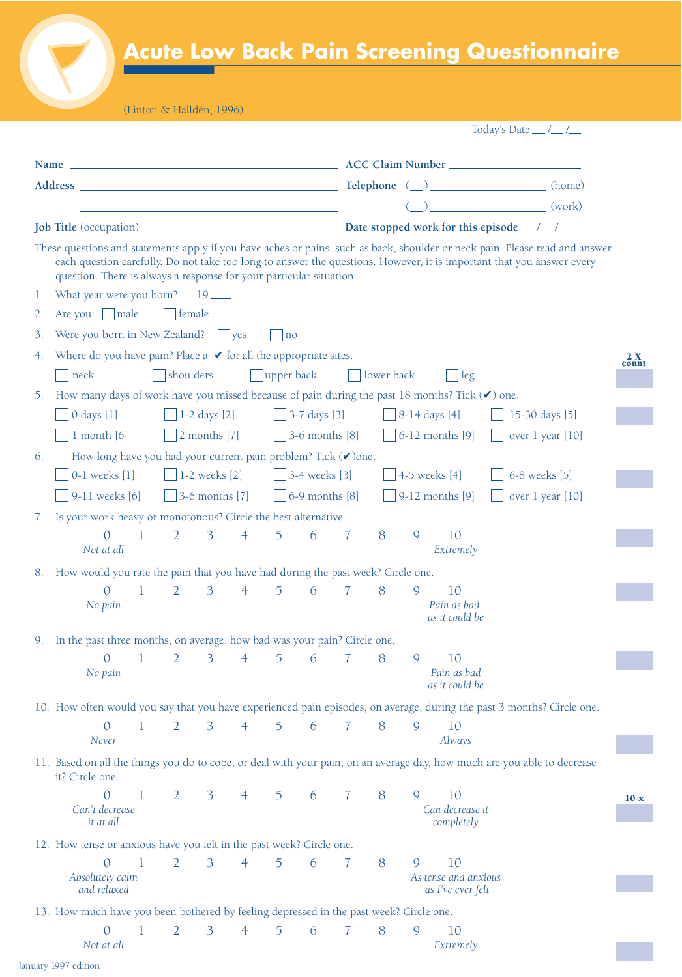**Acute Low Back Pain Screening Questionnaire**

(Linton & Halldén, 1996)

|    |                                                                                                                                                                                                                                                                                                                              |    |                                                            |   |                |                 |                                    |                   |            |                         |                                                                                                                                                                                                                                | Today's Date __/_/_ |                  |               |
|----|------------------------------------------------------------------------------------------------------------------------------------------------------------------------------------------------------------------------------------------------------------------------------------------------------------------------------|----|------------------------------------------------------------|---|----------------|-----------------|------------------------------------|-------------------|------------|-------------------------|--------------------------------------------------------------------------------------------------------------------------------------------------------------------------------------------------------------------------------|---------------------|------------------|---------------|
|    | Name                                                                                                                                                                                                                                                                                                                         |    |                                                            |   |                |                 |                                    |                   |            |                         | and a structure of the structure of the ACC Claim Number 2008 and 2008 and 2008 and 2008 and 2008 and 2008 and 2008 and 2008 and 2008 and 2008 and 2008 and 2008 and 2008 and 2008 and 2008 and 2008 and 2008 and 2008 and 200 |                     |                  |               |
|    | Address _                                                                                                                                                                                                                                                                                                                    |    |                                                            |   |                |                 |                                    |                   |            |                         |                                                                                                                                                                                                                                |                     | (home)           |               |
|    |                                                                                                                                                                                                                                                                                                                              |    | <u> 1989 - Johann Barn, amerikansk politiker (d. 1989)</u> |   |                |                 |                                    |                   |            |                         | $(\text{work})$                                                                                                                                                                                                                |                     |                  |               |
|    |                                                                                                                                                                                                                                                                                                                              |    |                                                            |   |                |                 |                                    |                   |            |                         |                                                                                                                                                                                                                                |                     |                  |               |
|    | These questions and statements apply if you have aches or pains, such as back, shoulder or neck pain. Please read and answer<br>each question carefully. Do not take too long to answer the questions. However, it is important that you answer every<br>question. There is always a response for your particular situation. |    |                                                            |   |                |                 |                                    |                   |            |                         |                                                                                                                                                                                                                                |                     |                  |               |
| Τ. | What year were you born? 19                                                                                                                                                                                                                                                                                                  |    |                                                            |   |                |                 |                                    |                   |            |                         |                                                                                                                                                                                                                                |                     |                  |               |
| 2. | Are you:     male                                                                                                                                                                                                                                                                                                            |    | female                                                     |   |                |                 |                                    |                   |            |                         |                                                                                                                                                                                                                                |                     |                  |               |
| 3. | Were you born in New Zealand? $\parallel$ yes                                                                                                                                                                                                                                                                                |    |                                                            |   |                | no              |                                    |                   |            |                         |                                                                                                                                                                                                                                |                     |                  |               |
| 4. | Where do you have pain? Place a $\checkmark$ for all the appropriate sites.                                                                                                                                                                                                                                                  |    |                                                            |   |                |                 |                                    |                   |            |                         |                                                                                                                                                                                                                                |                     |                  | $2X$<br>count |
|    | neck                                                                                                                                                                                                                                                                                                                         |    | shoulders                                                  |   |                | upper back      |                                    |                   | lower back |                         | $\lceil \lg$                                                                                                                                                                                                                   |                     |                  |               |
| 5. | How many days of work have you missed because of pain during the past 18 months? Tick $(\checkmark)$ one.                                                                                                                                                                                                                    |    |                                                            |   |                |                 |                                    |                   |            |                         |                                                                                                                                                                                                                                |                     |                  |               |
|    | $0$ days [1]                                                                                                                                                                                                                                                                                                                 |    | $\Box$ 1-2 days [2]                                        |   |                |                 | $\boxed{\phantom{0}}$ 3-7 days [3] |                   |            | $\boxed{8-14}$ days [4] |                                                                                                                                                                                                                                | 15-30 days [5]      |                  |               |
|    | $1$ month $[6]$                                                                                                                                                                                                                                                                                                              |    | $\vert$ 2 months [7]                                       |   |                |                 | $3-6$ months $[8]$                 |                   |            | 6-12 months [9]         |                                                                                                                                                                                                                                |                     | over 1 year [10] |               |
| 6. | How long have you had your current pain problem? Tick $(\checkmark)$ one.                                                                                                                                                                                                                                                    |    |                                                            |   |                |                 |                                    |                   |            |                         |                                                                                                                                                                                                                                |                     |                  |               |
|    | $0-1$ weeks [1]                                                                                                                                                                                                                                                                                                              |    | $\vert$ 1-2 weeks [2]                                      |   |                |                 |                                    | $3-4$ weeks $[3]$ |            | $\Box$ 4-5 weeks [4]    |                                                                                                                                                                                                                                | 6-8 weeks [5]       |                  |               |
|    | 9-11 weeks [6]                                                                                                                                                                                                                                                                                                               |    | $\boxed{\phantom{0}}$ 3-6 months [7]                       |   |                |                 | $\Box$ 6-9 months [8]              |                   |            | 9-12 months [9]         |                                                                                                                                                                                                                                |                     | over 1 year [10] |               |
| 7. | Is your work heavy or monotonous? Circle the best alternative.                                                                                                                                                                                                                                                               |    |                                                            |   |                |                 |                                    |                   |            |                         |                                                                                                                                                                                                                                |                     |                  |               |
|    | $\Omega$                                                                                                                                                                                                                                                                                                                     | Т. | 2                                                          | 3 | $\overline{4}$ | 5 <sup>5</sup>  | 6                                  | $\overline{7}$    | 8          | 9                       | <sup>10</sup>                                                                                                                                                                                                                  |                     |                  |               |
|    | Not at all                                                                                                                                                                                                                                                                                                                   |    |                                                            |   |                |                 |                                    |                   |            |                         | Extremely                                                                                                                                                                                                                      |                     |                  |               |
|    | 8. How would you rate the pain that you have had during the past week? Circle one.                                                                                                                                                                                                                                           |    |                                                            |   |                |                 |                                    |                   |            |                         |                                                                                                                                                                                                                                |                     |                  |               |
|    | $\Omega$<br>No pain                                                                                                                                                                                                                                                                                                          | Т. | $\overline{2}$                                             | 3 | $\overline{4}$ | 5               | 6                                  | $\overline{7}$    | 8          | 9                       | 10<br>Pain as bad<br>as it could be                                                                                                                                                                                            |                     |                  |               |
|    | 9. In the past three months, on average, how bad was your pain? Circle one.                                                                                                                                                                                                                                                  |    |                                                            |   |                |                 |                                    |                   |            |                         |                                                                                                                                                                                                                                |                     |                  |               |
|    | $\theta$<br>No pain                                                                                                                                                                                                                                                                                                          | 1  | $\overline{2}$                                             | 3 | $\overline{4}$ | $5\overline{)}$ | 6                                  | $\mathcal{I}$     | 8          | 9                       | 10<br>Pain as bad<br>as it could be                                                                                                                                                                                            |                     |                  |               |
|    | 10. How often would you say that you have experienced pain episodes, on average, during the past 3 months? Circle one.                                                                                                                                                                                                       |    |                                                            |   |                |                 |                                    |                   |            |                         |                                                                                                                                                                                                                                |                     |                  |               |
|    | $\overline{0}$                                                                                                                                                                                                                                                                                                               | Т. | $\mathcal{L}$                                              | 3 | $\overline{4}$ | $\overline{5}$  | 6                                  | $\overline{7}$    | 8          | 9                       | <sup>10</sup>                                                                                                                                                                                                                  |                     |                  |               |
|    | Never                                                                                                                                                                                                                                                                                                                        |    |                                                            |   |                |                 |                                    |                   |            |                         | Always                                                                                                                                                                                                                         |                     |                  |               |
|    | 11. Based on all the things you do to cope, or deal with your pain, on an average day, how much are you able to decrease<br>it? Circle one.                                                                                                                                                                                  |    |                                                            |   |                |                 |                                    |                   |            |                         |                                                                                                                                                                                                                                |                     |                  |               |
|    | $\Omega$<br>Can't decrease<br>it at all                                                                                                                                                                                                                                                                                      | T  | $\overline{2}$                                             | 3 | 4              | 5               | 6                                  | 7                 | 8          | 9                       | 10<br>Can decrease it<br>completely                                                                                                                                                                                            |                     |                  | $10-x$        |
|    | 12. How tense or anxious have you felt in the past week? Circle one.                                                                                                                                                                                                                                                         |    |                                                            |   |                |                 |                                    |                   |            |                         |                                                                                                                                                                                                                                |                     |                  |               |
|    | $\overline{0}$                                                                                                                                                                                                                                                                                                               | 1  | 2                                                          | 3 | 4              | 5               | 6                                  | 7                 | 8          | 9                       | 10                                                                                                                                                                                                                             |                     |                  |               |
|    | Absolutely calm<br>and relaxed                                                                                                                                                                                                                                                                                               |    |                                                            |   |                |                 |                                    |                   |            |                         | As tense and anxious<br>as I've ever felt                                                                                                                                                                                      |                     |                  |               |
|    |                                                                                                                                                                                                                                                                                                                              |    |                                                            |   |                |                 |                                    |                   |            |                         |                                                                                                                                                                                                                                |                     |                  |               |
|    | 13. How much have you been bothered by feeling depressed in the past week? Circle one.<br>$\overline{0}$                                                                                                                                                                                                                     | 1  | 2                                                          | 3 | 4              | 5               | 6                                  | 7                 | 8          | 9                       | 10                                                                                                                                                                                                                             |                     |                  |               |
|    | Not at all                                                                                                                                                                                                                                                                                                                   |    |                                                            |   |                |                 |                                    |                   |            |                         | Extremely                                                                                                                                                                                                                      |                     |                  |               |

January 1997 edition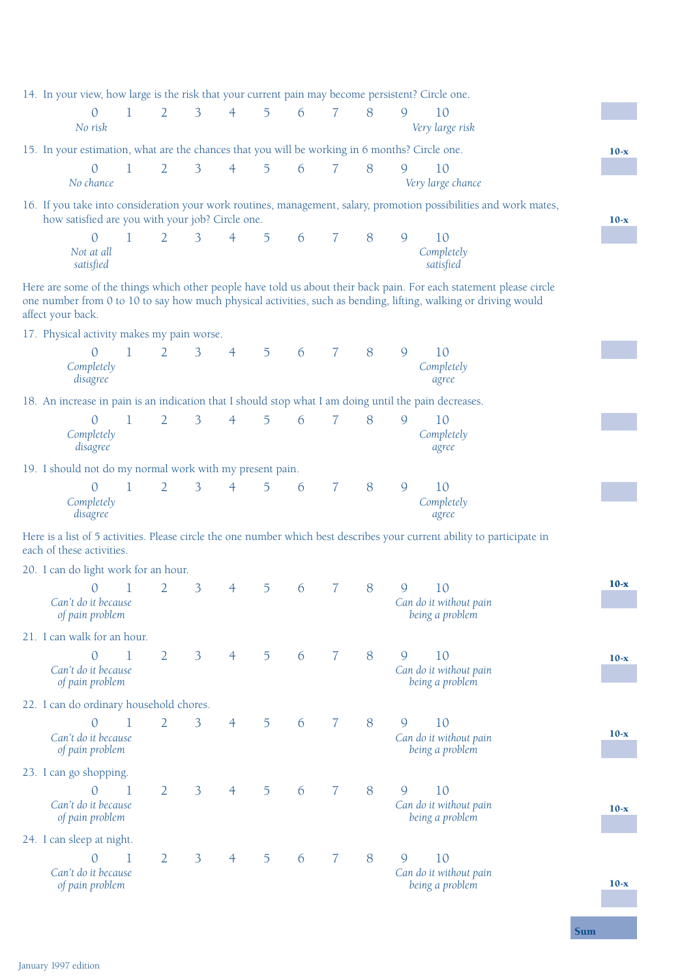|                                                          |              |                |                |                |                 |   |                |   | 14. In your view, how large is the risk that your current pain may become persistent? Circle one.                                                                                                                                      |        |
|----------------------------------------------------------|--------------|----------------|----------------|----------------|-----------------|---|----------------|---|----------------------------------------------------------------------------------------------------------------------------------------------------------------------------------------------------------------------------------------|--------|
| $\Omega$<br>No risk                                      | 1.           | $\overline{2}$ | $\mathbf{3}$   | $\overline{4}$ | $5^{\circ}$     | 6 | $\mathbf{7}$   | 8 | 9<br>10<br>Very large risk                                                                                                                                                                                                             |        |
|                                                          |              |                |                |                |                 |   |                |   | 15. In your estimation, what are the chances that you will be working in 6 months? Circle one.                                                                                                                                         | $10-x$ |
| $\Omega$<br>No chance                                    |              | $\overline{2}$ | $\overline{3}$ | $\overline{4}$ | 5               | 6 | 7              | 8 | 9<br>10<br>Very large chance                                                                                                                                                                                                           |        |
|                                                          |              |                |                |                |                 |   |                |   |                                                                                                                                                                                                                                        |        |
| how satisfied are you with your job? Circle one.         |              |                |                |                |                 |   |                |   | 16. If you take into consideration your work routines, management, salary, promotion possibilities and work mates,                                                                                                                     | $10-x$ |
| $\Omega$<br>Not at all<br>satisfied                      | Т.           | $\overline{2}$ | 3              | $\overline{4}$ | $\overline{5}$  | 6 | $\mathcal{I}$  | 8 | 9<br>10<br>Completely<br>satisfied                                                                                                                                                                                                     |        |
| affect your back.                                        |              |                |                |                |                 |   |                |   | Here are some of the things which other people have told us about their back pain. For each statement please circle<br>one number from 0 to 10 to say how much physical activities, such as bending, lifting, walking or driving would |        |
| 17. Physical activity makes my pain worse.               |              |                |                |                |                 |   |                |   |                                                                                                                                                                                                                                        |        |
| $\Omega$<br>Completely<br>disagree                       | 1            | $\overline{2}$ | $\mathfrak{Z}$ | $\overline{4}$ | $\overline{5}$  | 6 | $\overline{7}$ | 8 | 9<br>10<br>Completely<br>agree                                                                                                                                                                                                         |        |
|                                                          |              |                |                |                |                 |   |                |   | 18. An increase in pain is an indication that I should stop what I am doing until the pain decreases.                                                                                                                                  |        |
| $\Omega$<br>Completely<br>disagree                       | $\mathbf{1}$ | $\overline{2}$ | $\overline{3}$ | $\overline{4}$ | 5 <sup>5</sup>  | 6 | $\overline{7}$ | 8 | 10<br>9<br>Completely<br>agree                                                                                                                                                                                                         |        |
| 19. I should not do my normal work with my present pain. |              |                |                |                |                 |   |                |   |                                                                                                                                                                                                                                        |        |
| $\Omega$<br>Completely<br>disagree                       | n.           | 2              | $\overline{3}$ | $\overline{4}$ | 5               | 6 | $\overline{7}$ | 8 | 9<br>10<br>Completely<br>agree                                                                                                                                                                                                         |        |
| each of these activities.                                |              |                |                |                |                 |   |                |   | Here is a list of 5 activities. Please circle the one number which best describes your current ability to participate in                                                                                                               |        |
| 20. I can do light work for an hour.                     |              |                |                |                |                 |   |                |   |                                                                                                                                                                                                                                        |        |
| $\Omega$<br>Can't do it because<br>of pain problem       | n.           | $\overline{2}$ | 3              | $\overline{4}$ | $\overline{5}$  | 6 | $\mathcal{I}$  | 8 | 9<br>10<br>Can do it without pain<br>being a problem                                                                                                                                                                                   | $10-x$ |
| 21. I can walk for an hour.                              |              |                |                |                |                 |   |                |   |                                                                                                                                                                                                                                        |        |
| $\Omega$<br>Can't do it because<br>of pain problem       | 1            | $\overline{2}$ | $\overline{3}$ | $\overline{4}$ | $5\overline{)}$ | 6 | $\overline{7}$ | 8 | 9<br>10<br>Can do it without pain<br>being a problem                                                                                                                                                                                   | $10-x$ |
| 22. I can do ordinary household chores.                  |              |                |                |                |                 |   |                |   |                                                                                                                                                                                                                                        |        |
| $\Omega$<br>Can't do it because<br>of pain problem       | 1            | $\overline{2}$ | 3              | $\overline{4}$ | 5 <sup>5</sup>  | 6 | $\overline{7}$ | 8 | 9<br>10<br>Can do it without pain<br>being a problem                                                                                                                                                                                   | $10-x$ |
| 23. I can go shopping.                                   |              |                |                |                |                 |   |                |   |                                                                                                                                                                                                                                        |        |
| $\Omega$<br>Can't do it because<br>of pain problem       | - 1          | $\overline{2}$ | 3              | $\overline{4}$ | 5               | 6 | $\overline{7}$ | 8 | 9<br>10<br>Can do it without pain<br>being a problem                                                                                                                                                                                   | $10-x$ |
| 24. I can sleep at night.                                |              |                |                |                |                 |   |                |   |                                                                                                                                                                                                                                        |        |
| $\Omega$<br>Can't do it because<br>of pain problem       | T            | $\overline{2}$ | $\overline{3}$ | $\overline{4}$ | $\overline{5}$  | 6 | $\overline{7}$ | 8 | 9<br>10<br>Can do it without pain<br>being a problem                                                                                                                                                                                   | $10-x$ |

Sum

January 1997 edition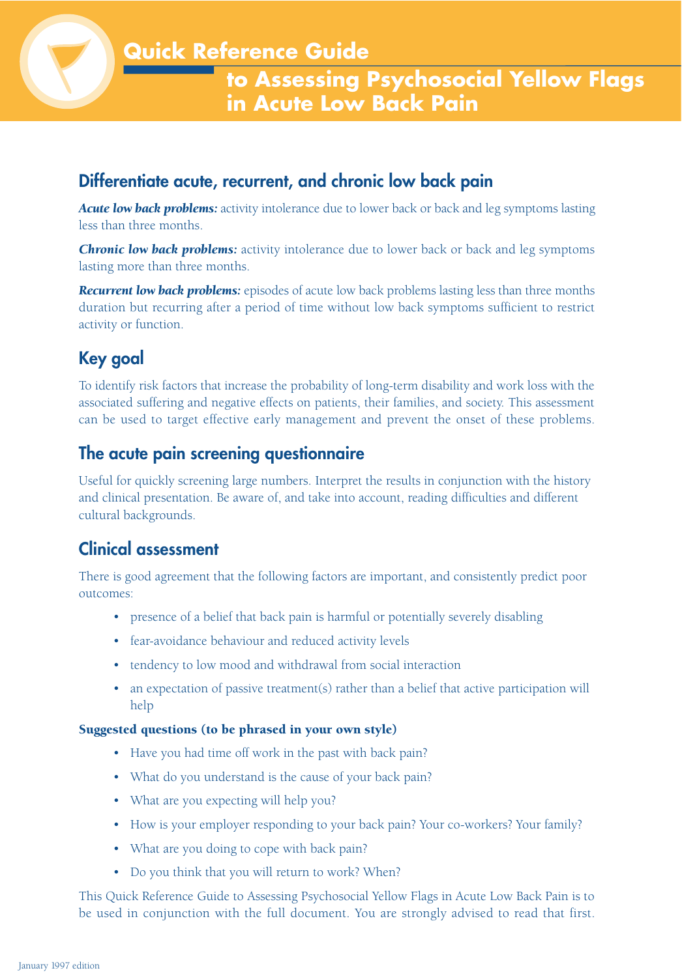

## **to Assessing Psychosocial Yellow Flags in Acute Low Back Pain**

## **Differentiate acute, recurrent, and chronic low back pain**

*Acute low back problems:* activity intolerance due to lower back or back and leg symptoms lasting less than three months.

**Chronic low back problems:** activity intolerance due to lower back or back and leg symptoms lasting more than three months.

*Recurrent low back problems:* episodes of acute low back problems lasting less than three months duration but recurring after a period of time without low back symptoms sufficient to restrict activity or function.

## **Key goal**

To identify risk factors that increase the probability of long-term disability and work loss with the associated suffering and negative effects on patients, their families, and society. This assessment can be used to target effective early management and prevent the onset of these problems.

### **The acute pain screening questionnaire**

Useful for quickly screening large numbers. Interpret the results in conjunction with the history and clinical presentation. Be aware of, and take into account, reading difficulties and different cultural backgrounds.

### **Clinical assessment**

There is good agreement that the following factors are important, and consistently predict poor outcomes:

- presence of a belief that back pain is harmful or potentially severely disabling
- fear-avoidance behaviour and reduced activity levels
- tendency to low mood and withdrawal from social interaction
- an expectation of passive treatment(s) rather than a belief that active participation will help

#### Suggested questions (to be phrased in your own style)

- Have you had time off work in the past with back pain?
- What do you understand is the cause of your back pain?
- What are you expecting will help you?
- How is your employer responding to your back pain? Your co-workers? Your family?
- What are you doing to cope with back pain?
- Do you think that you will return to work? When?

This Quick Reference Guide to Assessing Psychosocial Yellow Flags in Acute Low Back Pain is to be used in conjunction with the full document. You are strongly advised to read that first.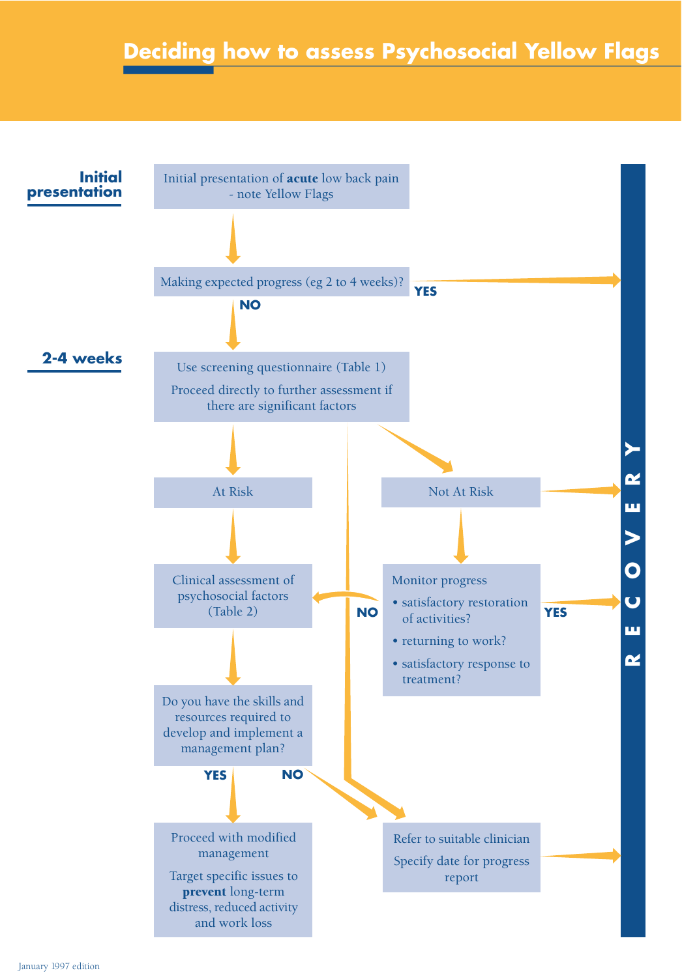## **Deciding how to assess Psychosocial Yellow Flags**

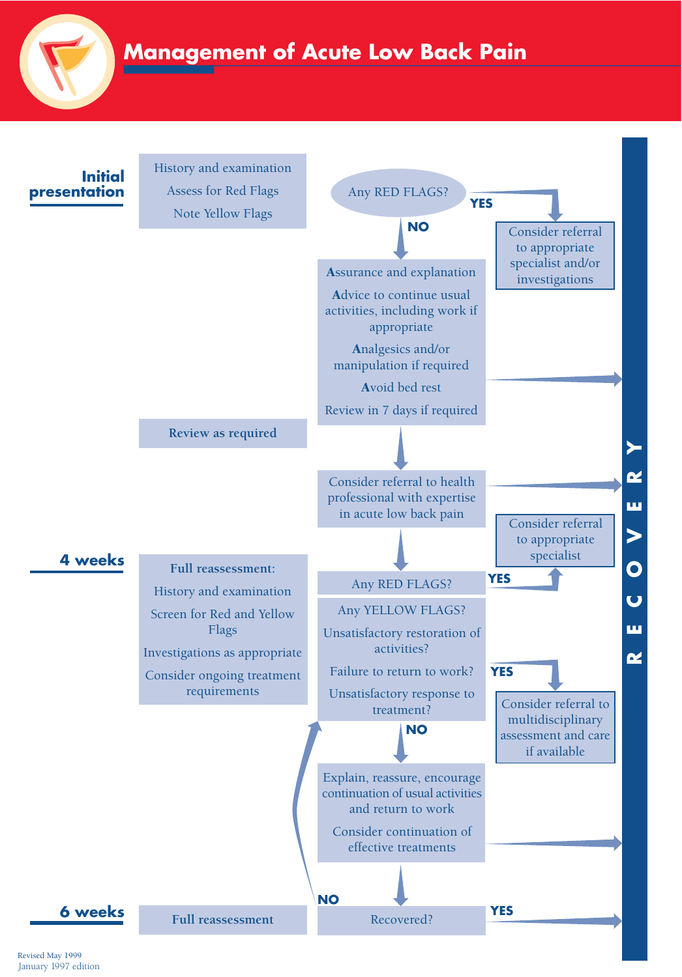